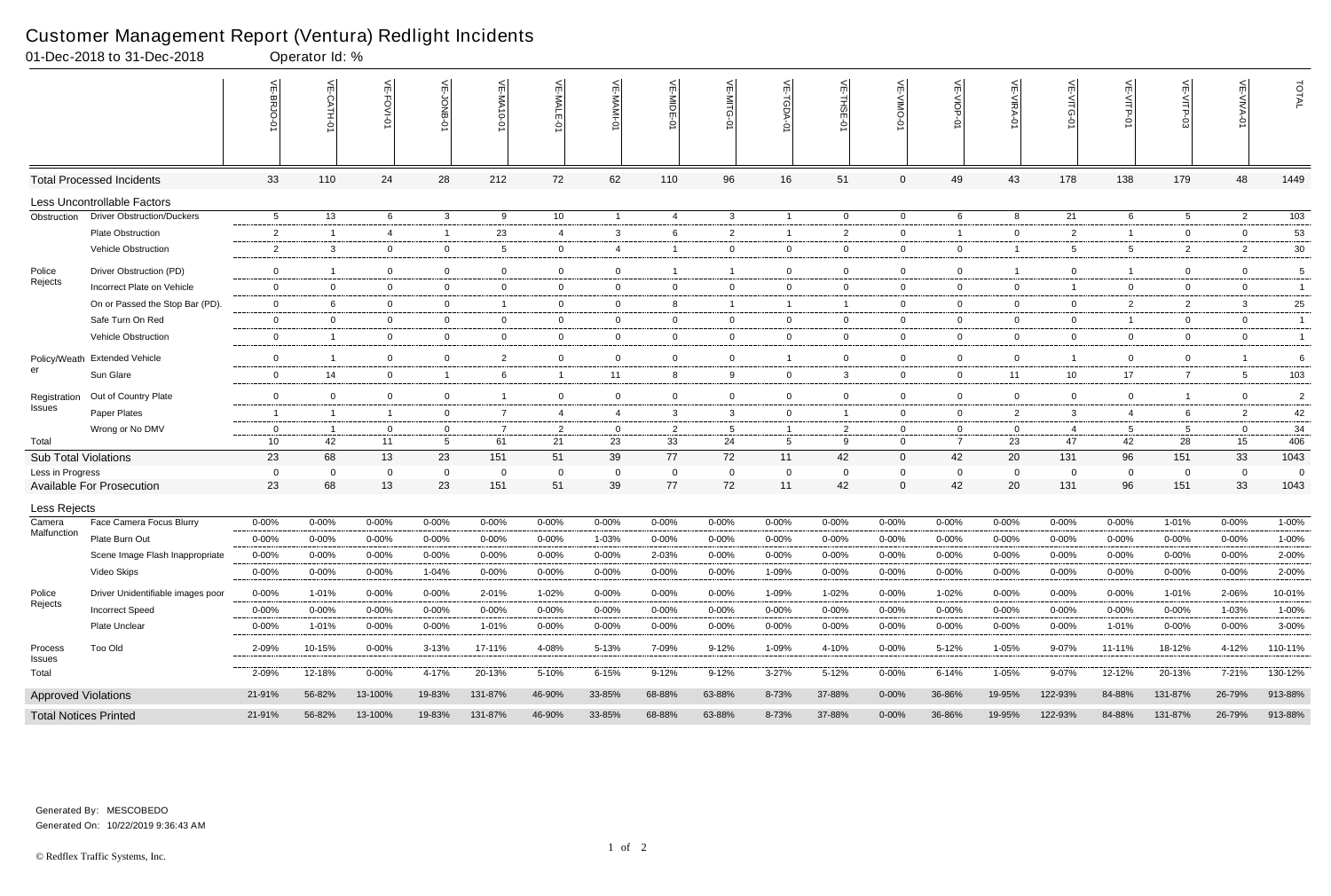|                              | 01-Dec-2018 to 31-Dec-2018                     |                        | Operator Id: %          |                     |                        |                        |                        |                    |                         |                        |                          |                        |                |                    |                         |                        |                    |                     |                        |                 |
|------------------------------|------------------------------------------------|------------------------|-------------------------|---------------------|------------------------|------------------------|------------------------|--------------------|-------------------------|------------------------|--------------------------|------------------------|----------------|--------------------|-------------------------|------------------------|--------------------|---------------------|------------------------|-----------------|
|                              |                                                |                        | $\leq$                  | 븻<br>FOVI-01        |                        | $\leq$<br>$-0-0$       | VE-MAL                 |                    | VE-MIDE-0               |                        | ₹<br><b>TGDA-0</b>       | VE-THSE-01             | VE-VIMO-       | VE-VIOP-<br>ė      | VE-VIRA-01              | VE-VITG-01             | VE-VITP-01         | $VE-V1TP-03$        | VE-VIVA-0              | TOTAL           |
|                              | <b>Total Processed Incidents</b>               | 33                     | 110                     | 24                  | 28                     | 212                    | 72                     | 62                 | 110                     | 96                     | 16                       | 51                     | $\mathbf{0}$   | 49                 | 43                      | 178                    | 138                | 179                 | 48                     | 1449            |
|                              | Less Uncontrollable Factors                    |                        |                         |                     |                        |                        |                        |                    |                         |                        |                          |                        |                |                    |                         |                        |                    |                     |                        |                 |
| Obstruction                  | <b>Driver Obstruction/Duckers</b>              | $5\overline{)}$        | 13                      | 6                   | $\mathbf{3}$           | 9                      | 10 <sup>°</sup>        | $\overline{1}$     | -4                      | $\mathbf{3}$           | $\overline{1}$           | $\overline{0}$         | $\overline{0}$ | 6                  | 8                       | 21                     | 6                  | $5\overline{)}$     | $\overline{2}$         | $\frac{103}{ }$ |
|                              | <b>Plate Obstruction</b>                       | $\overline{2}$         | -1                      | 4                   | $\overline{1}$         | 23                     | 4                      | $\mathbf{3}$       | 6                       | 2                      | $\overline{1}$           | $\overline{2}$         | 0              | $\overline{1}$     | $\overline{0}$          | $\overline{2}$         | $\mathbf{1}$       | $\overline{0}$      | $\overline{0}$         | 53              |
|                              | Vehicle Obstruction                            | $\overline{2}$         | 3                       | $\overline{0}$      | $\mathbf 0$            | 5                      | $\mathbf 0$            | $\overline{4}$     |                         | $\mathbf{0}$           | $\mathbf{0}$             | $\overline{0}$         | $\mathbf{0}$   | $\overline{0}$     | -1                      | 5                      | $5\overline{)}$    | $\overline{2}$      | $\overline{2}$         | $30\,$          |
| Police                       | Driver Obstruction (PD)                        | $\mathbf 0$            | -1                      | $\overline{0}$      | $\mathbf 0$            | $\mathbf{0}$           | $\overline{0}$         | $\overline{0}$     |                         | $\overline{1}$         | $\overline{0}$           | $\mathbf 0$            | $\mathbf{0}$   | $\overline{0}$     |                         | $\overline{0}$         | $\mathbf{1}$       | 0                   | $\overline{0}$         | 5               |
| Rejects                      | Incorrect Plate on Vehicle                     | $\mathbf 0$            | $\overline{0}$          | $\mathbf 0$         | $\mathbf 0$            | $\mathbf{0}$           | $\overline{0}$         | $\overline{0}$     | $\mathbf 0$             | $\overline{0}$         | $\overline{0}$           | $\mathbf 0$            | $\mathbf{0}$   | $\overline{0}$     | $\overline{0}$          | $\mathbf{1}$           | $\mathbf 0$        | $\overline{0}$      | $\mathbf 0$            | $\overline{1}$  |
|                              | On or Passed the Stop Bar (PD).                | $\mathbf 0$            | -6                      | $\overline{0}$      | $\overline{0}$         | - 1                    | $\overline{0}$         | $\overline{0}$     | 8                       | -1                     | $\overline{1}$           | - 1                    | $\mathbf{0}$   | $\overline{0}$     | $\mathbf 0$             | $\overline{0}$         | $\overline{2}$     | $\overline{2}$      | 3                      | 25              |
|                              | Safe Turn On Red                               | $\mathbf 0$            | $\Omega$                | $\mathbf 0$         | $\mathbf 0$            | $\mathbf 0$            | $\overline{0}$         | $\mathbf 0$        | $\mathbf 0$             | $\mathbf 0$            | $\mathbf{0}$             | $\overline{0}$         | $\mathbf 0$    | $\overline{0}$     | $\overline{0}$          | $\mathbf 0$            | $\mathbf{1}$       | $\mathbf 0$         | $\mathbf 0$            | $\overline{1}$  |
|                              | Vehicle Obstruction                            | $\overline{0}$         | $\overline{\mathbf{1}}$ | $\overline{0}$      | $\overline{0}$         | 0                      | $\mathbf{0}$           | $\overline{0}$     | $\mathbf{0}$            | $\overline{0}$         | $\mathbf{0}$             | $\overline{0}$         | $\mathbf{0}$   | $\overline{0}$     | $\overline{0}$          | $\overline{0}$         | $\overline{0}$     | $\mathbf{0}$        | $\overline{0}$         | $\overline{1}$  |
|                              | Policy/Weath Extended Vehicle                  | $\mathbf 0$            | -1                      | $\overline{0}$      | $\mathbf 0$            | $\overline{2}$         | $\overline{0}$         | $\mathbf 0$        | $\overline{0}$          | $\mathbf{0}$           | $\overline{1}$           | $\overline{0}$         | $\mathbf{0}$   | $\mathbf{0}$       | $\overline{0}$          |                        | $\mathbf 0$        | $\mathbf{0}$        |                        | 6               |
| er                           | Sun Glare                                      | $\overline{0}$         | 14                      | $\overline{0}$      | $\overline{1}$         | 6                      | $\mathbf{1}$           | 11                 | 8                       | 9                      | $\mathbf 0$              | $\mathbf{3}$           | $\mathbf{0}$   | $\overline{0}$     | 11                      | 10                     | 17                 | $\overline{7}$      | 5                      | 103             |
| Registration                 | Out of Country Plate                           | $\mathbf 0$            | $\Omega$                | $\mathbf 0$         | $\mathbf 0$            | -1                     | $\overline{0}$         | $\mathbf 0$        | $\mathbf 0$             | $\mathbf 0$            | $\mathbf 0$              | $\mathbf 0$            | $\mathbf{0}$   | $\mathbf 0$        | $\overline{0}$          | $\mathbf{0}$           | $\mathbf 0$        | $\mathbf{1}$        | $\mathbf 0$            | $\overline{c}$  |
| <b>Issues</b>                | Paper Plates                                   | -1                     | $\overline{1}$          | $\overline{1}$      | $\mathbf{0}$           | $\overline{7}$         | 4                      | $\overline{4}$     | 3                       | 3                      | $\overline{0}$           | - 1                    | $\mathbf{0}$   | $\overline{0}$     | $\overline{2}$          | $\mathbf{3}$           | $\overline{4}$     | 6                   | $\overline{2}$         | 42              |
|                              | Wrong or No DMV                                | 0                      | - 1                     | $\overline{0}$      | $\mathbf{0}$           | - 7                    | 2                      | $\mathbf 0$        | $\overline{\mathbf{2}}$ | 5                      | $\overline{1}$           | 2                      | $\Omega$       | $\overline{0}$     | $\Omega$                | -4                     | $5\overline{)}$    | 5                   | $\mathbf 0$            | 34              |
| Total                        |                                                | 10 <sup>°</sup>        | 42                      | 11                  | $5\phantom{.0}$        | 61                     | 21                     | 23                 | 33                      | 24                     | $5\overline{)}$          | 9                      | $\mathbf{0}$   | $\overline{7}$     | 23                      | 47                     | 42                 | 28                  | 15                     | 406             |
| <b>Sub Total Violations</b>  |                                                | 23                     | 68                      | 13                  | 23                     | 151                    | 51                     | 39                 | 77                      | 72                     | 11                       | 42                     | $\overline{0}$ | 42                 | 20                      | 131                    | 96                 | 151                 | 33                     | 1043            |
| Less in Progress             | <b>Available For Prosecution</b>               | 0<br>23                | - 0<br>68               | - 0<br>13           | $\overline{0}$<br>23   | 0<br>151               | 0<br>51                | $\mathbf{0}$<br>39 | - 0<br>77               | 0<br>72                | $\mathbf{0}$<br>11       | $\overline{0}$<br>42   | 0<br>0         | $\mathbf{0}$<br>42 | $\Omega$<br>20          | 0<br>131               | $\mathbf{0}$<br>96 | $\mathbf{0}$<br>151 | $\Omega$<br>33         | -0<br>1043      |
|                              |                                                |                        |                         |                     |                        |                        |                        |                    |                         |                        |                          |                        |                |                    |                         |                        |                    |                     |                        |                 |
| Less Rejects                 |                                                |                        |                         |                     |                        |                        |                        |                    |                         |                        |                          |                        |                |                    |                         |                        |                    |                     |                        |                 |
| Camera<br>Malfunction        | Face Camera Focus Blurry                       | 0-00%                  | 0-00%                   | $0 - 00%$           | 0-00%                  | 0-00%                  | $0 - 00\%$             | $0 - 00%$          | 0-00%                   | $0 - 00%$              | $0 - 00\%$               | $0 - 00%$              | $0 - 00%$      | $0 - 00%$          | $0 - 00%$               | $0 - 00%$              | $0 - 00%$          | 1-01%               | $0 - 00%$              | 1-00%           |
|                              | Plate Burn Out                                 | $0 - 00%$<br>$0 - 00%$ | $0 - 00%$<br>0-00%      | 0-00%<br>$0 - 00\%$ | $0 - 00%$<br>$0 - 00%$ | $0 - 00%$<br>$0 - 00%$ | $0 - 00%$<br>$0 - 00%$ | 1-03%<br>$0 - 00%$ | $0 - 00%$<br>2-03%      | $0 - 00%$<br>$0 - 00%$ | $0 - 00\%$<br>$0 - 00\%$ | $0 - 00%$<br>$0 - 00%$ | 0-00%<br>0-00% | $0 - 00%$<br>0-00% | $0 - 00%$<br>$0 - 00\%$ | $0 - 00%$<br>$0 - 00%$ | $0 - 00%$<br>0-00% | $0 - 00%$<br>0-00%  | $0 - 00%$<br>$0 - 00%$ | 1-00%<br>2-00%  |
|                              | Scene Image Flash Inappropriate<br>Video Skips | $0 - 00%$              | 0-00%                   | $0 - 00\%$          | $1 - 04%$              | 0-00%                  | $0 - 00\%$             | $0 - 00%$          | 0-00%                   | $0 - 00\%$             | 1-09%                    | $0 - 00%$              | $0 - 00%$      | 0-00%              | $0 - 00%$               | $0 - 00%$              | $0 - 00%$          | 0-00%               | $0 - 00%$              | 2-00%           |
|                              |                                                |                        |                         |                     |                        |                        |                        |                    |                         |                        |                          |                        |                |                    |                         |                        |                    |                     |                        |                 |
| Police<br>Rejects            | Driver Unidentifiable images poor              | $0 - 00%$              | 1-01%                   | $0 - 00\%$          | $0 - 00%$              | 2-01%                  | $1 - 02%$              | $0 - 00%$          | 0-00%                   | $0 - 00\%$             | 1-09%                    | 1-02%                  | $0 - 00\%$     | 1-02%              | 0-00%                   | $0 - 00%$              | $0 - 00%$          | 1-01%               | 2-06%                  | 10-01%          |
|                              | <b>Incorrect Speed</b>                         | $0 - 00%$              | $0 - 00\%$              | $0 - 00%$           | $0 - 00%$              | $0 - 00%$              | $0 - 00\%$             | $0 - 00\%$         | $0 - 00%$               | $0 - 00%$              | $0 - 00\%$               | $0 - 00%$              | $0 - 00%$      | $0 - 00\%$         | $0 - 00\%$              | $0 - 00%$              | $0 - 00%$          | 0-00%               | 1-03%                  | 1-00%           |
|                              | Plate Unclear                                  | $0 - 00%$              | 1-01%                   | 0-00%               | 0-00%                  | 1-01%                  | 0-00%                  | 0-00%              | 0-00%                   | 0-00%                  | 0-00%                    | 0-00%                  | 0-00%          | $0 - 00%$          | 0-00%                   | $0 - 00%$              | 1-01%              | 0-00%               | $0 - 00\%$             | $3 - 00%$       |
| Process<br>Issues            | <b>Too Old</b>                                 | 2-09%                  | 10-15%                  | $0 - 00\%$          | $3 - 13%$              | 17-11%                 | 4-08%                  | $5 - 13%$          | 7-09%                   | $9 - 12%$              | 1-09%                    | 4-10%                  | $0 - 00\%$     | 5-12%              | 1-05%                   | $9 - 07%$              | 11-11%             | 18-12%              | 4-12%                  | 110-11%         |
| Total                        |                                                | 2-09%                  | 12-18%                  | $0 - 00\%$          | 4-17%                  | 20-13%                 | 5-10%                  | $6 - 15%$          | $9 - 12%$               | $9 - 12%$              | $3 - 27%$                | 5-12%                  | $0 - 00%$      | $6 - 14%$          | 1-05%                   | 9-07%                  | 12-12%             | 20-13%              | 7-21%                  | 130-12%         |
| <b>Approved Violations</b>   |                                                | 21-91%                 | 56-82%                  | 13-100%             | 19-83%                 | 131-87%                | 46-90%                 | 33-85%             | 68-88%                  | 63-88%                 | 8-73%                    | 37-88%                 | $0 - 00\%$     | 36-86%             | 19-95%                  | 122-93%                | 84-88%             | 131-87%             | 26-79%                 | 913-88%         |
| <b>Total Notices Printed</b> |                                                | 21-91%                 | 56-82%                  | 13-100%             | 19-83%                 | 131-87%                | 46-90%                 | 33-85%             | 68-88%                  | 63-88%                 | 8-73%                    | 37-88%                 | $0 - 00\%$     | 36-86%             | 19-95%                  | 122-93%                | 84-88%             | 131-87%             | 26-79%                 | 913-88%         |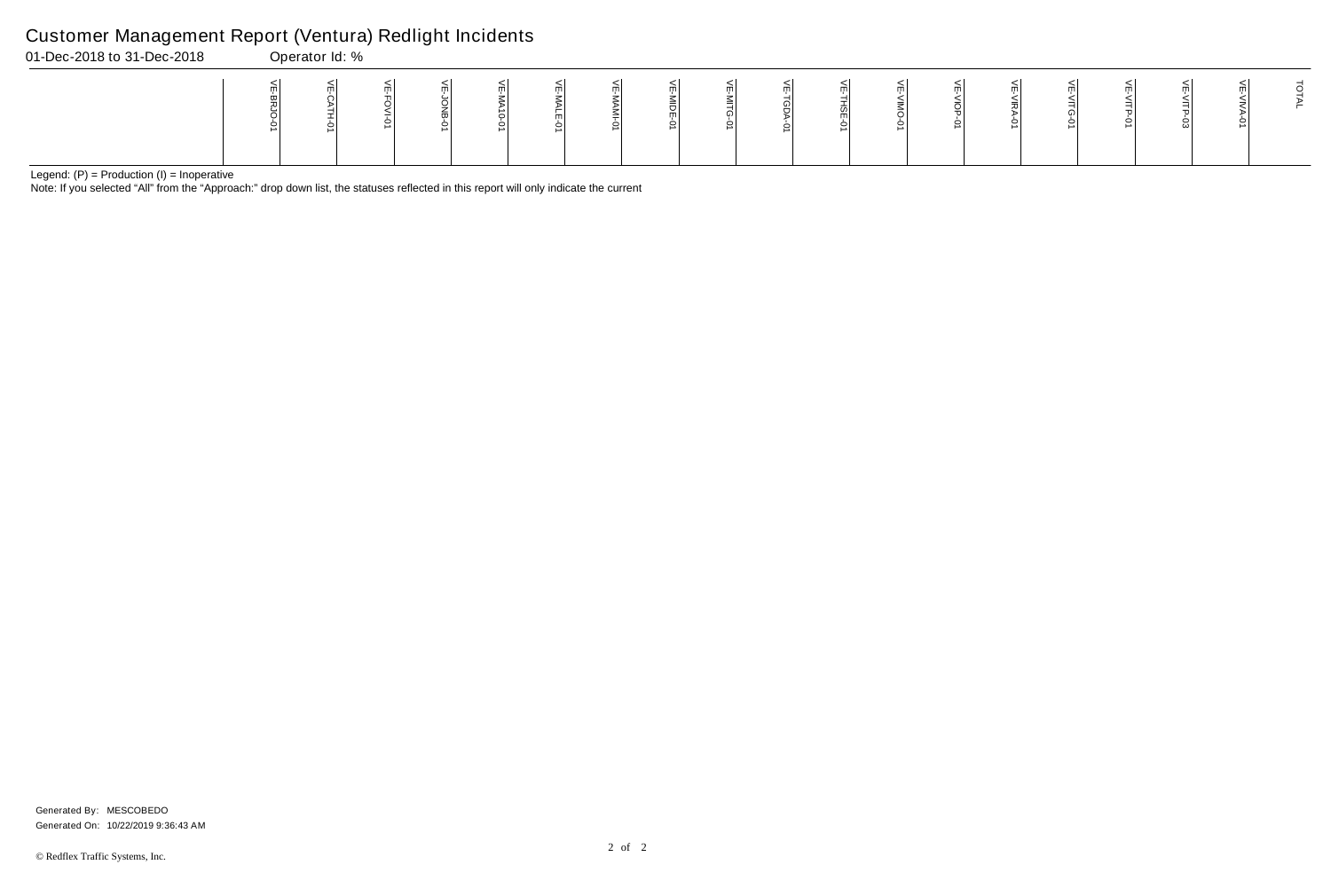Note: If you selected "All" from the "Approach:" drop down list, the statuses reflected in this report will only indicate the current

#### Customer Management Report (Ventura) Redlight Incidents

| 01-Dec-2018 to 31-Dec-2018 | Operator Id: % |  |  |  |  |  |  |  |  |  |
|----------------------------|----------------|--|--|--|--|--|--|--|--|--|
|                            |                |  |  |  |  |  |  |  |  |  |

Generated On: 10/22/2019 9:36:43 AM Generated By: MESCOBEDO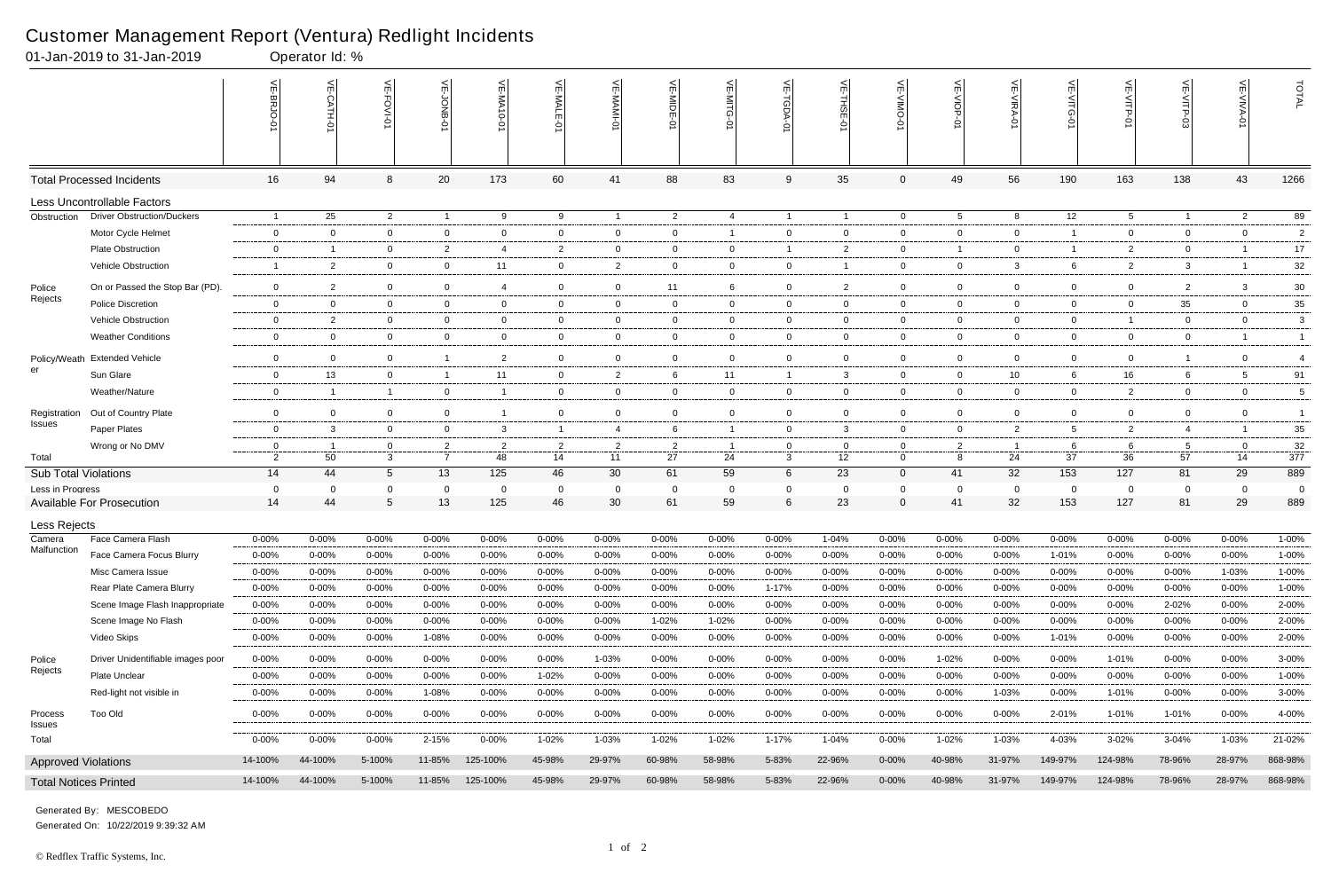|                              | 01-Jan-2019 to 31-Jan-2019        |                | Operator Id: %   |                 |                |                             |                |                |                |                |                   |                |                |                |                                    |                      |                 |                |                |                |
|------------------------------|-----------------------------------|----------------|------------------|-----------------|----------------|-----------------------------|----------------|----------------|----------------|----------------|-------------------|----------------|----------------|----------------|------------------------------------|----------------------|-----------------|----------------|----------------|----------------|
|                              |                                   |                | $\leq$<br>CATH-0 | 븻<br>FOVI-01    | ਜ              | $\widetilde{E}$<br>-MA10-01 | VE-MAL         | 늦              | VE-MIDE-01     | $\leq$         | $\widetilde{\pi}$ | 늰<br>ş         | 닞              | 닞<br>Q         | $\widetilde{\mathbb{F}}$<br>NIRA-0 | 늰<br>∕⊓rG<br>$\circ$ | 닞<br>VITP-01    |                | VE-VIVA-0      | TOTAL          |
|                              | <b>Total Processed Incidents</b>  | 16             | 94               | 8               | 20             | 173                         | 60             | 41             | 88             | 83             | 9                 | 35             | $\mathbf 0$    | 49             | 56                                 | 190                  | 163             | 138            | 43             | 1266           |
|                              | Less Uncontrollable Factors       |                |                  |                 |                |                             |                |                |                |                |                   |                |                |                |                                    |                      |                 |                |                |                |
| Obstruction                  | <b>Driver Obstruction/Duckers</b> | $\overline{1}$ | 25               | $\overline{2}$  | $\overline{1}$ | 9                           | 9              | $\overline{1}$ | $\overline{2}$ | 4              | $\overline{1}$    | $\overline{1}$ | $\overline{0}$ | $5^{\circ}$    | 8                                  | 12                   | $5\overline{)}$ | $\overline{1}$ | $\overline{2}$ | 89             |
|                              | Motor Cycle Helmet                | $\mathbf 0$    | $\Omega$         | $\overline{0}$  | $\mathbf 0$    | $\mathbf 0$                 | $\overline{0}$ | $\overline{0}$ | $\overline{0}$ | -1             | $\mathbf 0$       | $\mathbf 0$    | 0              | $\overline{0}$ | $\mathbf 0$                        |                      | $\mathbf 0$     | $\mathbf{0}$   | $\mathbf{0}$   | $\overline{c}$ |
|                              | <b>Plate Obstruction</b>          | 0              | -1               | $\mathbf 0$     | $\overline{2}$ | 4                           | $\overline{2}$ | $\overline{0}$ | - 0            | 0              | $\overline{1}$    | $\overline{2}$ | 0              | $\overline{1}$ | 0                                  |                      | $\overline{2}$  | $\mathbf{0}$   |                | 17             |
|                              | Vehicle Obstruction               | -1             | $\overline{2}$   | $\overline{0}$  | $\mathbf{0}$   | 11                          | $\mathbf 0$    | $\overline{2}$ | 0              | $\mathbf 0$    | $\overline{0}$    |                | 0              | $\overline{0}$ | 3                                  | 6                    | $\overline{2}$  | $\mathbf{3}$   | -1             | 32             |
| Police                       | On or Passed the Stop Bar (PD).   | $\mathsf{O}$   | $\overline{2}$   | $\mathbf 0$     | $\mathbf 0$    | $\overline{4}$              | $\overline{0}$ | $\overline{0}$ | 11             | 6              | $\mathbf 0$       | $\overline{2}$ | 0              | $\mathbf 0$    | $\Omega$                           | $\overline{0}$       | $\overline{0}$  | $\overline{2}$ | 3              | $30\,$         |
| Rejects                      | <b>Police Discretion</b>          | $\mathbf 0$    | $\Omega$         | $\overline{0}$  | $\mathbf 0$    | $\overline{0}$              | $\mathbf 0$    | $\mathbf 0$    | $\overline{0}$ | $\overline{0}$ | $\overline{0}$    | $\mathbf 0$    | 0              | $\overline{0}$ | $\mathbf 0$                        | $\overline{0}$       | $\mathbf 0$     | 35             | $\mathbf{0}$   | 35             |
|                              | Vehicle Obstruction               | $\mathbf{0}$   | $\overline{2}$   | $\mathbf 0$     | $\mathbf{0}$   | 0                           | 0              | $\overline{0}$ | - 0            | 0              | $\mathbf 0$       | 0              | 0              | $\mathbf{0}$   | $\Omega$                           | $\mathbf{0}$         | $\overline{1}$  | 0              | $\mathbf{0}$   | 3              |
|                              | <b>Weather Conditions</b>         | $\mathbf 0$    | $\mathbf 0$      | $\overline{0}$  | $\overline{0}$ | $\overline{0}$              | $\mathbf{0}$   | $\overline{0}$ | $\overline{0}$ | $\overline{0}$ | $\overline{0}$    | $\mathbf 0$    | 0              | $\mathbf{0}$   | $\mathbf 0$                        | $\overline{0}$       | $\overline{0}$  | $\mathbf{0}$   | -1             | $\overline{1}$ |
| Policy/Weath                 | <b>Extended Vehicle</b>           | $\mathbf 0$    | $\mathbf 0$      | $\overline{0}$  | $\overline{1}$ | $\overline{2}$              | $\overline{0}$ | $\overline{0}$ | 0              | $\mathbf 0$    | $\overline{0}$    | $\mathbf 0$    | 0              | $\overline{0}$ | 0                                  | $\mathbf{0}$         | $\overline{0}$  | -1             | $\mathbf{0}$   | $\overline{4}$ |
| er                           | Sun Glare                         | $\mathbf 0$    | 13               | $\overline{0}$  | $\overline{1}$ | 11                          | $\mathbf 0$    | $\overline{2}$ | 6              | 11             | $\mathbf{1}$      | $\mathbf{3}$   | 0              | $\overline{0}$ | 10                                 | 6                    | 16              | 6              | -5             | 91             |
|                              | Weather/Nature                    | $\mathbf 0$    | -1               | $\overline{1}$  | $\overline{0}$ | - 1                         | $\mathbf{0}$   | $\overline{0}$ | $\overline{0}$ | $\mathbf{0}$   | $\overline{0}$    | $\mathbf 0$    | 0              | $\overline{0}$ | $\mathbf{0}$                       | $\overline{0}$       | $\overline{2}$  | $\mathbf{0}$   | $\overline{0}$ | 5              |
| Registration                 | Out of Country Plate              | $\mathbf 0$    | $\mathbf 0$      | $\overline{0}$  | $\mathbf{0}$   | -1                          | $\overline{0}$ | $\mathbf 0$    | $\mathbf 0$    | $\overline{0}$ | $\overline{0}$    | $\mathbf 0$    | 0              | $\overline{0}$ | $\mathbf 0$                        | $\overline{0}$       | $\overline{0}$  | $\mathbf{0}$   | $\mathbf{0}$   | $\overline{1}$ |
| Issues                       | Paper Plates                      | $\mathbf 0$    | 3                | $\overline{0}$  | $\mathbf{0}$   | 3                           | $\overline{1}$ | $\overline{4}$ | 6              | -1             | $\overline{0}$    | $\mathbf{3}$   | 0              | $\overline{0}$ | $\overline{2}$                     | 5                    | 2               | $\overline{4}$ |                | $35\,$         |
|                              | Wrong or No DMV                   | 0              |                  | 0               | $\overline{2}$ | $\overline{2}$              | 2              | $\overline{2}$ | $\overline{2}$ |                | 0                 | - 0            |                | $\overline{2}$ |                                    | 6                    | 6               | 5              | $\Omega$       | 32             |
| Total                        |                                   | $\overline{2}$ | 50               | 3               | $\overline{7}$ | 48                          | 14             | 11             | 27             | 24             | 3                 | 12             | $\mathbf 0$    | 8              | 24                                 | 37                   | 36              | 57             | 14             | 377            |
| <b>Sub Total Violations</b>  |                                   | 14             | 44               | $5\overline{)}$ | 13             | 125                         | 46             | 30             | 61             | 59             | 6                 | 23             | $\overline{0}$ | 41             | 32                                 | 153                  | 127             | 81             | 29             | 889            |
| Less in Progress             |                                   | 0              | $\Omega$         | $\Omega$        | 0              | - 0                         | 0              | $\mathbf{0}$   | - 0            | 0              | 0                 | - 0            | 0              | 0              | 0                                  | $\Omega$             | $\mathbf 0$     | 0              | $\Omega$       | $\mathbf 0$    |
|                              | <b>Available For Prosecution</b>  | 14             | 44               | 5               | 13             | 125                         | 46             | 30             | 61             | 59             | 6                 | 23             | $\Omega$       | 41             | 32                                 | 153                  | 127             | 81             | 29             | 889            |
| Less Rejects                 |                                   |                |                  |                 |                |                             |                |                |                |                |                   |                |                |                |                                    |                      |                 |                |                |                |
| Camera<br>Malfunction        | Face Camera Flash                 | 0-00%          | $0 - 00%$        | $0 - 00%$       | 0-00%          | $0 - 00%$                   | $0 - 00\%$     | $0 - 00%$      | 0-00%          | $0 - 00%$      | $0 - 00\%$        | 1-04%          | 0-00%          | $0 - 00\%$     | $0 - 00%$                          | 0-00%                | $0 - 00%$       | 0-00%          | $0 - 00%$      | $1 - 00%$      |
|                              | Face Camera Focus Blurry          | $0 - 00%$      | 0-00%            | $0 - 00\%$      | 0-00%          | $0 - 00%$                   | $0 - 00%$      | $0 - 00%$      | 0-00%          | $0 - 00%$      | $0 - 00%$         | $0 - 00\%$     | 0-00%          | $0 - 00%$      | $0 - 00%$                          | $1 - 01%$            | $0 - 00%$       | $0 - 00%$      | $0 - 00\%$     | $1 - 00%$      |
|                              | Misc Camera Issue                 | $0 - 00%$      | 0-00%            | $0 - 00\%$      | 0-00%          | 0-00%                       | $0 - 00\%$     | $0 - 00%$      | 0-00%          | $0 - 00%$      | $0 - 00\%$        | $0 - 00%$      | 0-00%          | $0 - 00%$      | $0 - 00%$                          | $0 - 00%$            | 0-00%           | $0 - 00%$      | $1 - 03%$      | $1 - 00%$      |
|                              | Rear Plate Camera Blurry          | $0 - 00%$      | $0 - 00%$        | $0 - 00%$       | 0-00%          | $0 - 00%$                   | $0 - 00\%$     | $0 - 00%$      | 0-00%          | 0-00%          | $1 - 17%$         | $0 - 00%$      | 0-00%          | $0 - 00\%$     | $0 - 00\%$                         | $0 - 00%$            | $0 - 00\%$      | 0-00%          | $0 - 00%$      | 1-00%          |
|                              | Scene Image Flash Inappropriate   | $0 - 00\%$     | $0 - 00%$        | $0 - 00\%$      | $0 - 00%$      | $0 - 00%$                   | $0 - 00\%$     | $0 - 00%$      | $0 - 00%$      | $0 - 00%$      | $0 - 00\%$        | $0 - 00%$      | $0 - 00%$      | $0 - 00%$      | $0 - 00\%$                         | $0 - 00%$            | $0 - 00%$       | $2 - 02%$      | $0 - 00\%$     | 2-00%          |
|                              | Scene Image No Flash              | $0 - 00%$      | $0 - 00\%$       | $0 - 00\%$      | $0 - 00%$      | $0 - 00%$                   | $0 - 00\%$     | $0 - 00%$      | 1-02%          | 1-02%          | $0 - 00\%$        | $0 - 00\%$     | 0-00%          | $0 - 00\%$     | $0 - 00%$                          | 0-00%                | $0 - 00\%$      | $0 - 00%$      | $0 - 00%$      | 2-00%          |
|                              | Video Skips                       | $0 - 00\%$     | $0 - 00\%$       | $0 - 00\%$      | 1-08%          | $0 - 00%$                   | $0 - 00\%$     | $0 - 00%$      | $0 - 00%$      | $0 - 00\%$     | 0-00%             | $0 - 00%$      | $0 - 00%$      | $0 - 00\%$     | 0-00%                              | 1-01%                | $0 - 00\%$      | 0-00%          | $0 - 00\%$     | 2-00%          |
| Police<br>Rejects            | Driver Unidentifiable images poor | $0 - 00%$      | $0 - 00\%$       | $0 - 00\%$      | $0 - 00%$      | 0-00%                       | $0 - 00\%$     | 1-03%          | 0-00%          | $0 - 00\%$     | $0 - 00\%$        | $0 - 00%$      | 0-00%          | 1-02%          | $0 - 00%$                          | $0 - 00%$            | 1-01%           | 0-00%          | $0 - 00%$      | 3-00%          |
|                              | Plate Unclear                     | $0 - 00%$      | $0 - 00\%$       | $0 - 00%$       | 0-00%          | $0 - 00%$                   | 1-02%          | 0-00%          | 0-00%          | $0 - 00%$      | $0 - 00\%$        | $0 - 00%$      | 0-00%          | $0 - 00\%$     | $0 - 00%$                          | $0 - 00%$            | $0 - 00\%$      | $0 - 00%$      | $0 - 00\%$     | 1-00%          |
|                              | Red-light not visible in          | 0-00%          | $0 - 00%$        | $0 - 00\%$      | 1-08%          | $0 - 00%$                   | $0 - 00\%$     | $0 - 00%$      | $0 - 00%$      | $0 - 00%$      | $0 - 00\%$        | $0 - 00%$      | 0-00%          | $0 - 00\%$     | 1-03%                              | $0 - 00%$            | 1-01%           | 0-00%          | $0 - 00%$      | 3-00%          |
| Process<br>Issues            | <b>Too Old</b>                    | $0 - 00%$      | $0 - 00\%$       | $0 - 00\%$      | $0 - 00\%$     | $0 - 00%$                   | $0 - 00\%$     | $0 - 00%$      | 0-00%          | $0 - 00\%$     | $0 - 00\%$        | $0 - 00%$      | $0 - 00%$      | $0 - 00\%$     | $0 - 00\%$                         | 2-01%                | 1-01%           | 1-01%          | $0 - 00\%$     | 4-00%          |
| Total                        |                                   | $0 - 00\%$     | $0 - 00\%$       | $0 - 00\%$      | 2-15%          | $0 - 00\%$                  | 1-02%          | 1-03%          | 1-02%          | 1-02%          | $1 - 17%$         | 1-04%          | $0 - 00%$      | 1-02%          | 1-03%                              | 4-03%                | 3-02%           | 3-04%          | 1-03%          | 21-02%         |
| <b>Approved Violations</b>   |                                   | 14-100%        | 44-100%          | 5-100%          | 11-85%         | 125-100%                    | 45-98%         | 29-97%         | 60-98%         | 58-98%         | 5-83%             | 22-96%         | $0 - 00\%$     | 40-98%         | 31-97%                             | 149-97%              | 124-98%         | 78-96%         | 28-97%         | 868-98%        |
| <b>Total Notices Printed</b> |                                   | 14-100%        | 44-100%          | 5-100%          | 11-85%         | 125-100%                    | 45-98%         | 29-97%         | 60-98%         | 58-98%         | 5-83%             | 22-96%         | $0 - 00\%$     | 40-98%         | 31-97%                             | 149-97%              | 124-98%         | 78-96%         | 28-97%         | 868-98%        |

Generated On: 10/22/2019 9:39:32 AM

Generated By: MESCOBEDO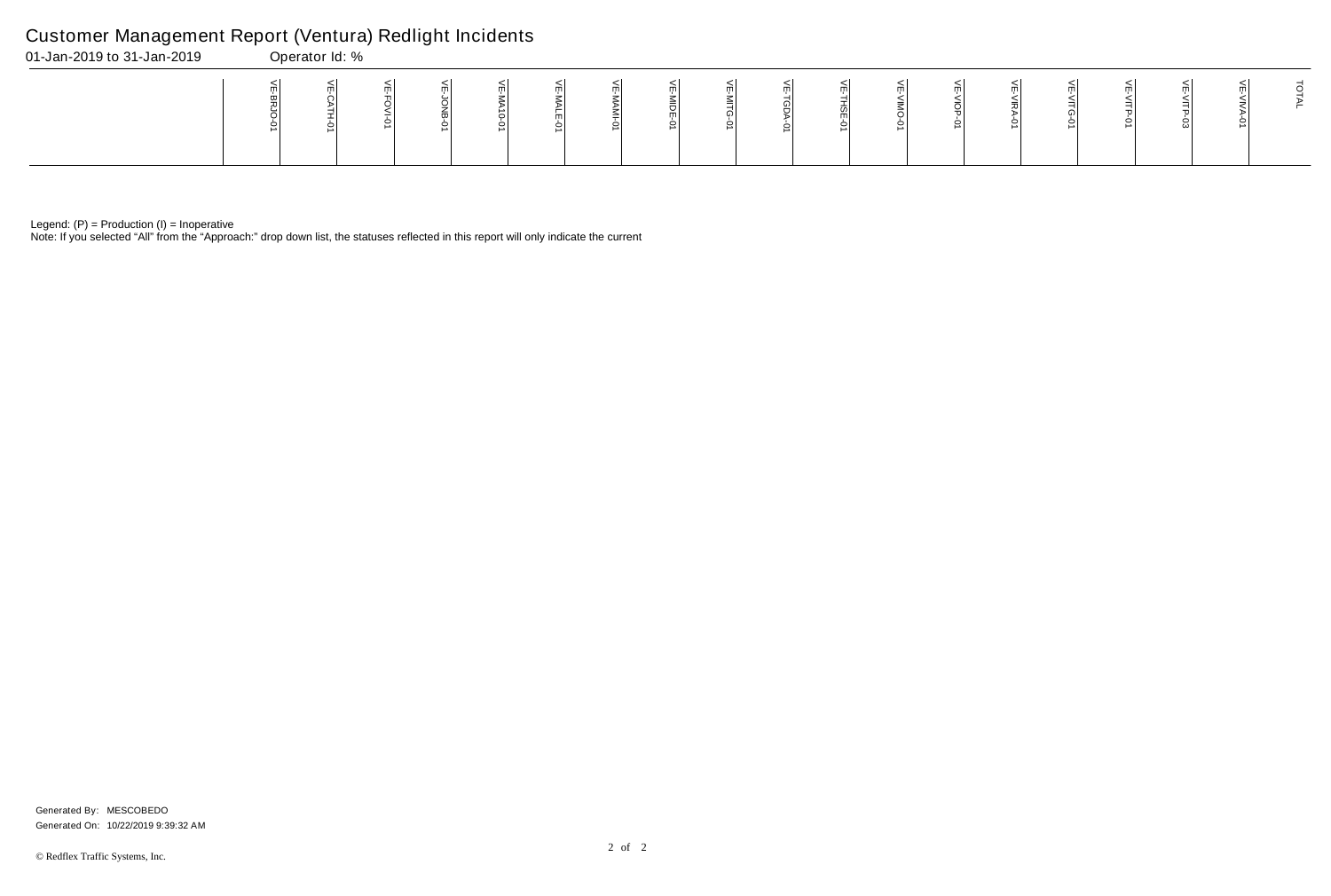Note: If you selected "All" from the "Approach:" drop down list, the statuses reflected in this report will only indicate the current

## Customer Management Report (Ventura) Redlight Incidents

| 01-Jan-2019 to 31-Jan-2019 | Operator Id: % |  |  |  |  |  |   |  |  |  |  |
|----------------------------|----------------|--|--|--|--|--|---|--|--|--|--|
|                            |                |  |  |  |  |  | m |  |  |  |  |

Generated On: 10/22/2019 9:39:32 AM Generated By: MESCOBEDO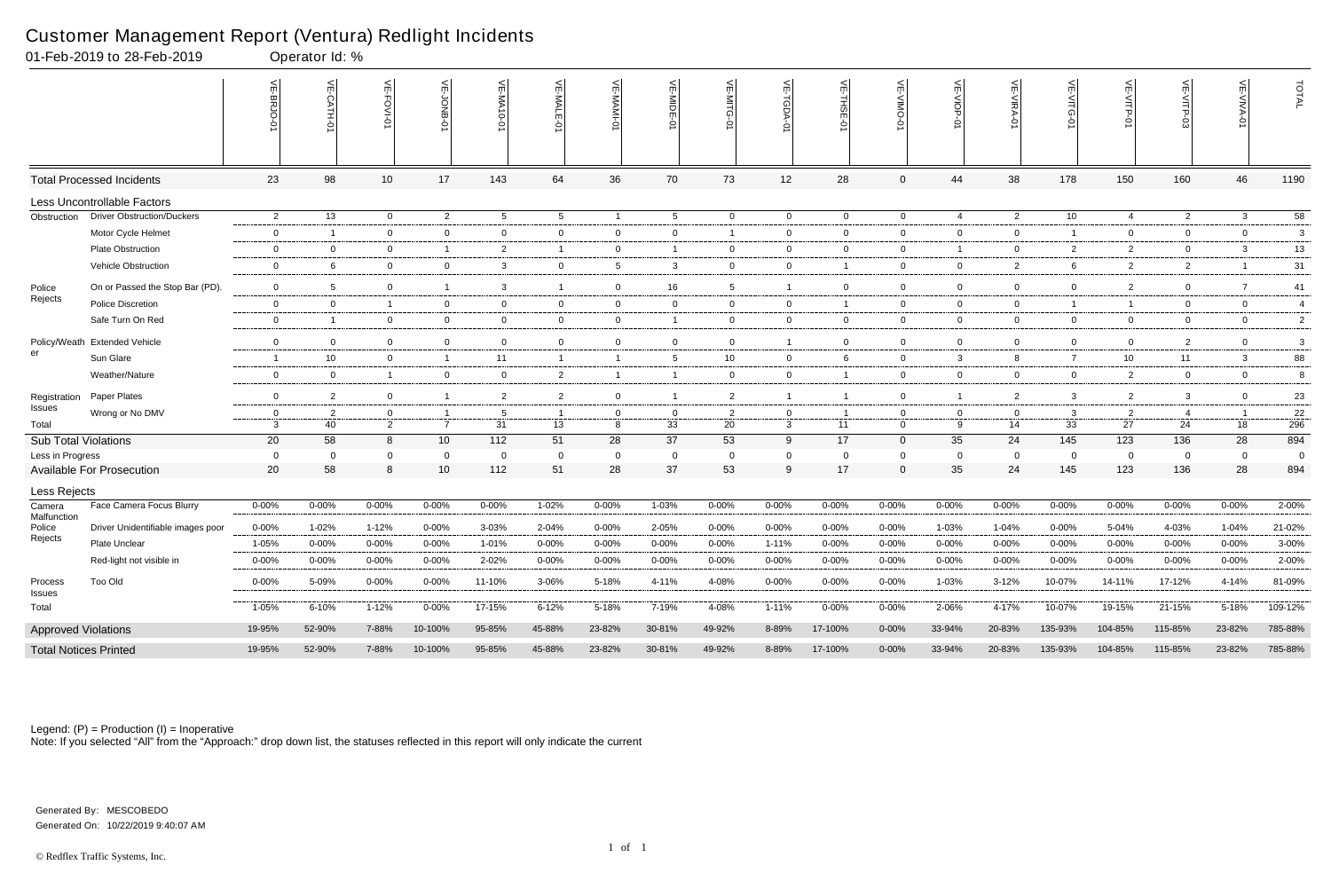|                             | 01-Feb-2019 to 28-Feb-2019        |                         | Operator Id: %       |                  |                                  |                |                |                     |                |                      |                                           |                               |                     |                     |                      |                 |                      |                |                |                |
|-----------------------------|-----------------------------------|-------------------------|----------------------|------------------|----------------------------------|----------------|----------------|---------------------|----------------|----------------------|-------------------------------------------|-------------------------------|---------------------|---------------------|----------------------|-----------------|----------------------|----------------|----------------|----------------|
|                             |                                   | VE-BRJO-<br>Q           |                      | <b>VE-FOVI-0</b> | VE-JONB-01                       | VE-MA10-0      | VE-MALE-01     | VE-MAMI-01          | VE-MIDE-01     | VE-MITG<br>ò         | $\mathrel{\widehat{=}}$<br>$\overline{5}$ | $\widetilde{\mathbb{F}}$<br>ġ | VE-VIMO-0           | VE-VIOP-01          | VE-VIRA-01           | VE-VITG-0       | VE-VITP-01           | VE-VITP-03     | VE-VIVA.<br>Ó  | TOTAL          |
|                             | <b>Total Processed Incidents</b>  | 23                      | 98                   | 10               | 17                               | 143            | 64             | 36                  | 70             | 73                   | 12                                        | 28                            | $\mathbf{0}$        | 44                  | 38                   | 178             | 150                  | 160            | 46             | 1190           |
|                             | Less Uncontrollable Factors       |                         |                      |                  |                                  |                |                |                     |                |                      |                                           |                               |                     |                     |                      |                 |                      |                |                |                |
| Obstruction                 | <b>Driver Obstruction/Duckers</b> | $\overline{2}$          | 13                   | $\mathbf 0$      | $\overline{2}$                   | 5 <sup>5</sup> | 5              | $\overline{1}$      | 5              | $\mathbf 0$          | $\mathbf 0$                               | $\overline{0}$                | $\mathbf 0$         | $\overline{4}$      | $\overline{2}$       | 10 <sup>1</sup> | 4                    | $\overline{2}$ | $\mathbf{3}$   | 58             |
|                             | Motor Cycle Helmet                | $\mathbf{0}$            | -1                   | $\mathbf 0$      | $\overline{0}$                   | $\overline{0}$ | $\mathbf{0}$   | $\mathbf{0}$        | $\mathbf{0}$   | -1                   | 0                                         | 0                             | $\mathbf 0$         | $\overline{0}$      | $\overline{0}$       |                 | $\overline{0}$       | $\Omega$       | $\overline{0}$ | -3             |
|                             | <b>Plate Obstruction</b>          | $\mathbf 0$             | $\overline{0}$       | $\overline{0}$   | $\overline{1}$                   | $\mathbf{2}$   | $\overline{1}$ | $\mathbf{0}$        |                | $\overline{0}$       | 0                                         | 0                             | $\overline{0}$      | $\overline{1}$      | $\overline{0}$       | $\overline{2}$  | $\overline{2}$       | $\mathbf 0$    | 3              | 13             |
|                             | Vehicle Obstruction               | $\overline{0}$          | 6                    | $\mathbf 0$      | $\mathbf{0}$                     | $\mathbf{3}$   | $\mathbf{0}$   | $5\phantom{.0}$     | 3              | $\overline{0}$       | $\mathbf 0$                               | -1                            | $\mathbf 0$         | $\bf{0}$            | $\overline{2}$       | 6               | $\overline{2}$       | $\overline{2}$ |                | 31             |
| Police                      | On or Passed the Stop Bar (PD).   | $\overline{0}$          | 5 <sup>5</sup>       | $\overline{0}$   | $\overline{1}$                   | 3              | -1             | $\mathbf 0$         | 16             | 5                    | $\overline{1}$                            | $\overline{0}$                | $\overline{0}$      | $\overline{0}$      | $\overline{0}$       | $\overline{0}$  | $\overline{2}$       | $\Omega$       | $\overline{7}$ | 41             |
| Rejects                     | <b>Police Discretion</b>          | $\mathbf{0}$            | $\overline{0}$       | $\overline{1}$   | $\mathbf{0}$                     | $\overline{0}$ | $\mathbf{0}$   | $\overline{0}$      | $\mathbf 0$    | $\overline{0}$       | $\mathbf{0}$                              | -1                            | $\overline{0}$      | $\overline{0}$      | $\overline{0}$       |                 | $\mathbf{1}$         | $\mathbf 0$    | $\overline{0}$ | $\overline{4}$ |
|                             | Safe Turn On Red                  | $\overline{0}$          | $\overline{1}$       | $\overline{0}$   | $\mathbf 0$                      | $\overline{0}$ | $\mathbf{0}$   | $\mathbf 0$         |                | $\overline{0}$       | $\mathbf 0$                               | $\overline{0}$                | $\overline{0}$      | $\overline{0}$      | $\overline{0}$       | $\overline{0}$  | $\overline{0}$       | $\overline{0}$ | $\overline{0}$ | $\overline{2}$ |
|                             | Policy/Weath Extended Vehicle     | $\mathbf 0$             | $\overline{0}$       | $\Omega$         | $\mathbf 0$                      | $\overline{0}$ | $\overline{0}$ | $\mathbf 0$         | $\mathbf 0$    | $\overline{0}$       | $\overline{1}$                            | $\mathbf 0$                   | $\overline{0}$      | $\mathbf 0$         | $\overline{0}$       | $\overline{0}$  | $\overline{0}$       | $\overline{2}$ | $\overline{0}$ | 3              |
| er                          | Sun Glare                         | $\overline{\mathbf{1}}$ | 10 <sup>1</sup>      | $\overline{0}$   | $\overline{1}$                   | 11             | $\mathbf{1}$   | $\overline{1}$      | -5             | 10                   | 0                                         | 6                             | $\mathbf 0$         | $\mathbf{3}$        | 8                    | $\overline{7}$  | 10                   | 11             | 3              | 88             |
|                             | Weather/Nature                    | $\mathbf{0}$            | $\overline{0}$       | $\overline{1}$   | $\mathbf{0}$                     | $\overline{0}$ | $\overline{2}$ | $\overline{1}$      |                | $\overline{0}$       | $\overline{0}$                            | -1                            | $\overline{0}$      | $\overline{0}$      | $\overline{0}$       | $\mathbf{0}$    | $\overline{2}$       | $\overline{0}$ | $\overline{0}$ | 8              |
|                             |                                   | $\mathbf 0$             |                      |                  |                                  |                |                |                     |                |                      |                                           | - 1                           |                     |                     |                      |                 |                      |                |                |                |
| Registration<br>Issues      | Paper Plates                      |                         | $\overline{2}$       | $\overline{0}$   | $\overline{1}$                   | $\overline{2}$ | $\overline{2}$ | $\mathbf 0$         |                | $\overline{2}$       | $\overline{1}$                            |                               | $\overline{0}$      | $\overline{1}$      | $\overline{2}$       | 3               | $\overline{2}$       | 3              | $\overline{0}$ | 23             |
| Total                       | Wrong or No DMV                   | $\mathbf{0}$<br>-3      | $\overline{2}$<br>40 | $\mathbf 0$<br>2 | $\overline{1}$<br>$\overline{7}$ | 5<br>31        | 13             | $\overline{0}$<br>8 | $\Omega$<br>33 | $\overline{2}$<br>20 | $\mathbf 0$<br>$\mathbf{3}$               | - 1<br>11                     | 0<br>$\overline{0}$ | $\overline{0}$<br>9 | $\overline{0}$<br>14 | 3<br>33         | $\overline{2}$<br>27 | -4<br>24       | 18             | 22<br>296      |
| <b>Sub Total Violations</b> |                                   | 20                      | 58                   | 8                | 10                               | 112            | 51             | 28                  | 37             | 53                   | 9                                         | 17                            | $\mathbf{0}$        | 35                  | 24                   | 145             | 123                  | 136            | 28             | 894            |
| Less in Progress            |                                   | $\overline{0}$          | $\mathbf 0$          | $\mathbf 0$      | 0                                | $\mathbf 0$    | 0              | $\mathbf{0}$        | $\Omega$       | $\overline{0}$       | 0                                         | - 0                           | $\Omega$            | $\overline{0}$      | $\overline{0}$       | $\Omega$        | $\mathbf{0}$         | $\overline{0}$ | $\mathbf 0$    | - 0            |
|                             | <b>Available For Prosecution</b>  | 20                      | 58                   | 8                | 10                               | 112            | 51             | 28                  | 37             | 53                   | 9                                         | 17                            | $\mathbf{0}$        | 35                  | 24                   | 145             | 123                  | 136            | 28             | 894            |
| Less Rejects                |                                   |                         |                      |                  |                                  |                |                |                     |                |                      |                                           |                               |                     |                     |                      |                 |                      |                |                |                |
| Camera                      | Face Camera Focus Blurry          | $0 - 00%$               | $0 - 00\%$           | 0-00%            | $0 - 00\%$                       | $0 - 00%$      | 1-02%          | 0-00%               | 1-03%          | $0 - 00\%$           | $0 - 00%$                                 | $0 - 00%$                     | $0 - 00\%$          | $0 - 00\%$          | $0 - 00%$            | $0 - 00%$       | $0 - 00%$            | $0 - 00%$      | $0 - 00\%$     | 2-00%          |
| Malfunction<br>Police       | Driver Unidentifiable images poor | $0 - 00%$               | 1-02%                | 1-12%            | $0 - 00%$                        | 3-03%          | 2-04%          | 0-00%               | 2-05%          | $0 - 00\%$           | $0 - 00%$                                 | $0 - 00%$                     | $0 - 00\%$          | 1-03%               | $1 - 04%$            | 0-00%           | 5-04%                | 4-03%          | 1-04%          | 21-02%         |
| Rejects                     | <b>Plate Unclear</b>              | 1-05%                   | $0 - 00%$            | 0-00%            | $0 - 00%$                        | 1-01%          | 0-00%          | $0 - 00%$           | 0-00%          | $0 - 00%$            | $1 - 11%$                                 | $0 - 00%$                     | 0-00%               | $0 - 00%$           | $0 - 00%$            | 0-00%           | $0 - 00%$            | $0 - 00%$      | $0 - 00%$      | 3-00%          |
|                             | Red-light not visible in          | $0 - 00\%$              | $0 - 00\%$           | $0 - 00\%$       | $0 - 00\%$                       | 2-02%          | $0 - 00\%$     | $0 - 00\%$          | $0 - 00\%$     | $0 - 00\%$           | $0 - 00%$                                 | $0 - 00%$                     | $0 - 00\%$          | $0 - 00%$           | $0 - 00%$            | $0 - 00%$       | $0 - 00%$            | $0 - 00%$      | $0 - 00\%$     | 2-00%          |
| Process                     | Too Old                           | $0 - 00%$               | 5-09%                | $0 - 00\%$       | $0 - 00\%$                       | 11-10%         | 3-06%          | 5-18%               | 4-11%          | 4-08%                | $0 - 00\%$                                | $0 - 00%$                     | $0 - 00\%$          | 1-03%               | $3 - 12%$            | 10-07%          | 14-11%               | 17-12%         | 4-14%          | 81-09%         |
| <b>Issues</b><br>Total      |                                   | $1 - 05%$               | 6-10%                | $1 - 12%$        | $0 - 00\%$                       | 17-15%         | $6 - 12%$      | 5-18%               | 7-19%          | 4-08%                | $1 - 11%$                                 | $0 - 00%$                     | $0 - 00\%$          | 2-06%               | 4-17%                | 10-07%          | 19-15%               | 21-15%         | 5-18%          | 109-12%        |
| <b>Approved Violations</b>  |                                   | 19-95%                  | 52-90%               | 7-88%            | 10-100%                          | 95-85%         | 45-88%         | 23-82%              | 30-81%         | 49-92%               | 8-89%                                     | 17-100%                       | $0 - 00\%$          | 33-94%              | 20-83%               | 135-93%         | 104-85%              | 115-85%        | 23-82%         | 785-88%        |
|                             | <b>Total Notices Printed</b>      | 19-95%                  | 52-90%               | 7-88%            | 10-100%                          | 95-85%         | 45-88%         | 23-82%              | 30-81%         | 49-92%               | 8-89%                                     | 17-100%                       | $0 - 00\%$          | 33-94%              | 20-83%               | 135-93%         | 104-85%              | 115-85%        | 23-82%         | 785-88%        |

Note: If you selected "All" from the "Approach:" drop down list, the statuses reflected in this report will only indicate the current

## Customer Management Report (Ventura) Redlight Incidents

Generated On: 10/22/2019 9:40:07 AM Generated By: MESCOBEDO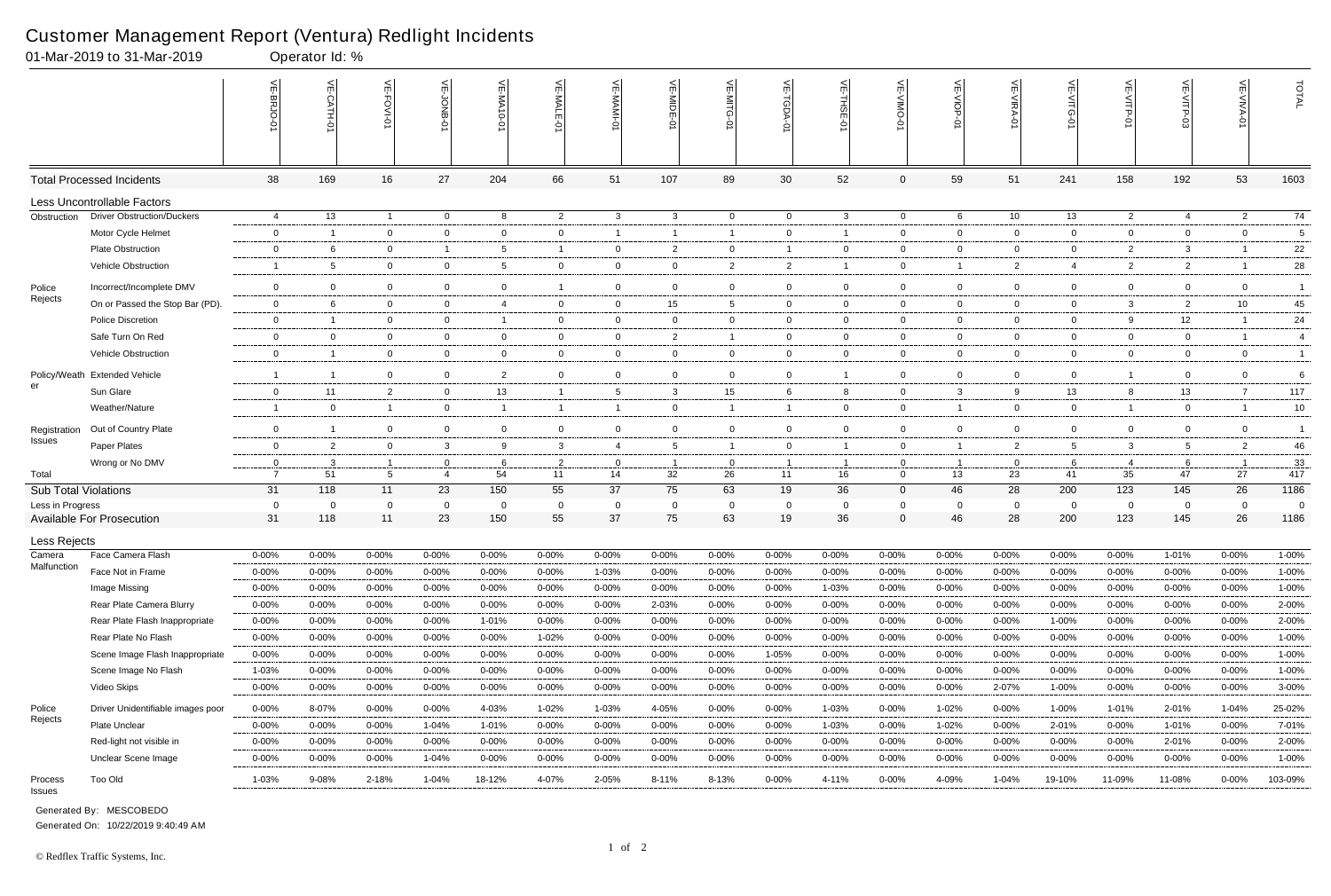|                             | 01-Mar-2019 to 31-Mar-2019        |                | Operator Id: %  |                 |                |                    |                |                |                |                            |                |                |              |                |                |                |                |                                            |                          |                |
|-----------------------------|-----------------------------------|----------------|-----------------|-----------------|----------------|--------------------|----------------|----------------|----------------|----------------------------|----------------|----------------|--------------|----------------|----------------|----------------|----------------|--------------------------------------------|--------------------------|----------------|
|                             |                                   |                | $\leq$<br>ГН-0. | اٺ<br>FOVI-01   | ⊭              | 닞<br>WA-<br>$-0-0$ | VE-MALE<br>ò   | 는              | VE-MIDE-01     | VE-MITG-<br>$\overline{5}$ | VE-TGDA-0      | VE-THSE-01     | VE-VIMO-01   | VE-VIOP-01     | VE-VIRA-01     | ے<br>റ<br>Ò    | VE-VITP-01     | $\widetilde{\mathbb{F}}$<br><b>SD-91IV</b> | $\widetilde{\mathbb{F}}$ | TOTAL          |
|                             | <b>Total Processed Incidents</b>  | 38             | 169             | 16              | 27             | 204                | 66             | 51             | 107            | 89                         | 30             | 52             | 0            | 59             | 51             | 241            | 158            | 192                                        | 53                       | 1603           |
|                             | Less Uncontrollable Factors       |                |                 |                 |                |                    |                |                |                |                            |                |                |              |                |                |                |                |                                            |                          |                |
| Obstruction                 | <b>Driver Obstruction/Duckers</b> | 4              | 13              | $\overline{1}$  | $\overline{0}$ | 8                  | $\overline{2}$ | $\mathbf{3}$   | $\mathbf{3}$   | $\overline{0}$             | $\overline{0}$ | $\mathbf{3}$   | $\mathbf{0}$ | 6              | 10             | 13             | $\overline{2}$ | 4                                          | $\overline{2}$           | 74             |
|                             | Motor Cycle Helmet                | $\overline{0}$ |                 | $\mathbf{0}$    | 0              | 0                  | $\mathbf{0}$   | $\overline{1}$ | -1             | -1                         | 0              | -1             | $\mathbf{0}$ | $\overline{0}$ | $\overline{0}$ | 0              | $\overline{0}$ | $\mathbf{0}$                               | $\mathbf 0$              | 5              |
|                             | <b>Plate Obstruction</b>          | $\mathbf 0$    | -6              | $\overline{0}$  | $\overline{1}$ | 5                  | -1             | $\overline{0}$ | $\overline{2}$ | $\mathbf{0}$               | $\overline{1}$ | $\overline{0}$ | $\mathbf{0}$ | $\overline{0}$ | $\mathbf 0$    | $\overline{0}$ | $\overline{2}$ | 3                                          |                          | 22             |
|                             | Vehicle Obstruction               | -1             | -5              | $\overline{0}$  | 0              | 5                  | $\mathbf{0}$   | $\mathbf 0$    | 0              | $\overline{2}$             | $\overline{2}$ |                | $\mathbf{0}$ | $\mathbf{1}$   | $\overline{2}$ | 4              | $\overline{2}$ | $\overline{2}$                             |                          | 28             |
| Police                      | Incorrect/Incomplete DMV          | $\mathbf 0$    | $\Omega$        | $\overline{0}$  | $\mathbf 0$    | 0                  |                | $\mathbf 0$    | $\mathbf 0$    | 0                          | $\mathbf 0$    | $\overline{0}$ | $\mathbf{0}$ | $\mathbf 0$    | $\mathbf 0$    | $\mathbf 0$    | $\mathbf 0$    | $\mathbf 0$                                | $\mathbf 0$              | $\overline{1}$ |
| Rejects                     | On or Passed the Stop Bar (PD).   | $\mathbf 0$    | -6              | $\overline{0}$  | $\overline{0}$ | 4                  | $\mathbf{0}$   | $\mathbf 0$    | 15             | 5                          | $\mathbf{0}$   | $\overline{0}$ | $\mathbf{0}$ | $\overline{0}$ | $\mathbf 0$    | 0              | 3              | $\overline{2}$                             | 10                       | 45             |
|                             | <b>Police Discretion</b>          | 0              |                 | $\mathbf 0$     | $\mathbf 0$    |                    | $\mathbf{0}$   | $\mathbf{0}$   | 0              | $\mathbf 0$                | 0              | $\overline{0}$ | $\mathbf{0}$ | $\mathbf 0$    | $\overline{0}$ | 0              | 9              | 12                                         |                          | 24             |
|                             | Safe Turn On Red                  | $\overline{0}$ | $\mathbf 0$     | $\overline{0}$  | $\overline{0}$ | $\mathbf{0}$       | $\mathbf{0}$   | $\overline{0}$ | $\overline{2}$ | -1                         | 0              | $\overline{0}$ | $\mathbf{0}$ | $\overline{0}$ | $\overline{0}$ | $\overline{0}$ | $\overline{0}$ | $\mathbf{0}$                               | -1                       | 4              |
|                             | <b>Vehicle Obstruction</b>        | $\overline{0}$ | -1              | $\overline{0}$  | $\overline{0}$ | $\mathbf 0$        | $\mathbf{0}$   | $\mathbf 0$    | $\mathbf 0$    | $\mathbf{0}$               | 0              | $\overline{0}$ | $\mathbf{0}$ | $\overline{0}$ | $\overline{0}$ | $\mathbf{0}$   | $\overline{0}$ | $\mathbf 0$                                | $\mathbf{0}$             | $\mathbf{1}$   |
| Policy/Weath                | <b>Extended Vehicle</b>           | -1             | $\overline{1}$  | $\overline{0}$  | $\overline{0}$ | $\overline{2}$     | $\mathbf{0}$   | $\overline{0}$ | $\mathbf 0$    | $\mathbf{0}$               | 0              | -1             | $\mathbf{0}$ | $\overline{0}$ | $\overline{0}$ | $\mathbf 0$    | $\mathbf{1}$   | $\mathbf 0$                                | $\overline{0}$           | 6              |
| er                          | Sun Glare                         | $\overline{0}$ | 11              | $\overline{2}$  | $\overline{0}$ | 13                 | $\mathbf{1}$   | 5              | $\mathbf{3}$   | 15                         | 6              | 8              | $\mathbf{0}$ | $\mathbf{3}$   | 9              | 13             | 8              | 13                                         | 7                        | 117            |
|                             | Weather/Nature                    | -1             | 0               | $\overline{1}$  | $\overline{0}$ | -1                 | $\mathbf{1}$   | $\overline{1}$ | $\mathbf 0$    |                            | $\overline{1}$ | $\overline{0}$ | $\mathbf{0}$ | $\mathbf{1}$   | $\overline{0}$ | $\mathbf{0}$   | $\mathbf{1}$   | $\mathbf{0}$                               | -1                       | 10             |
|                             | Out of Country Plate              | $\overline{0}$ | -1              | $\overline{0}$  | $\overline{0}$ | $\mathbf{0}$       | $\mathbf{0}$   | $\mathbf{0}$   | $\mathbf 0$    | 0                          | 0              | $\overline{0}$ | $\mathbf{0}$ | $\overline{0}$ | $\overline{0}$ | 0              | $\mathbf{0}$   | $\mathbf 0$                                | $\overline{0}$           | $\overline{1}$ |
| Registration<br>Issues      | Paper Plates                      | $\overline{0}$ | $\overline{2}$  | $\overline{0}$  | $\mathbf{3}$   | 9                  | 3              | $\overline{4}$ | 5              |                            | $\mathbf 0$    | -1             | $\mathbf{0}$ | $\overline{1}$ | $\overline{2}$ | 5              | $\mathbf{3}$   | 5                                          | $\overline{2}$           | 46             |
|                             | Wrong or No DMV                   | 0              | 3               | -1              | 0              | 6                  | $\overline{2}$ | $\overline{0}$ | - 1            | 0                          | $\overline{1}$ | - 1            | $\mathbf{0}$ | $\overline{1}$ | 0              | 6              | 4              | -6                                         | - 1                      | 33             |
| Total                       |                                   | $\overline{7}$ | 51              | $5\overline{5}$ | $\overline{4}$ | 54                 | 11             | 14             | 32             | 26                         | 11             | 16             | $\mathbf{0}$ | 13             | 23             | 41             | 35             | 47                                         | 27                       | 417            |
| <b>Sub Total Violations</b> |                                   | 31             | 118             | 11              | 23             | 150                | 55             | 37             | 75             | 63                         | 19             | 36             | 0            | 46             | 28             | 200            | 123            | 145                                        | 26                       | 1186           |
| Less in Progress            |                                   | 0              | $\mathbf 0$     | 0               | $\overline{0}$ | 0                  | 0              | $\overline{0}$ | $\mathbf 0$    | 0                          | $\mathbf 0$    | $\mathbf 0$    | 0            | $\overline{0}$ | 0              | $\overline{0}$ | 0              | $\mathbf 0$                                | - 0                      | $\overline{0}$ |
|                             | <b>Available For Prosecution</b>  | 31             | 118             | 11              | 23             | 150                | 55             | 37             | 75             | 63                         | 19             | 36             | $\Omega$     | 46             | 28             | 200            | 123            | 145                                        | 26                       | 1186           |
| Less Rejects                |                                   |                |                 |                 |                |                    |                |                |                |                            |                |                |              |                |                |                |                |                                            |                          |                |
| Camera<br>Malfunction       | Face Camera Flash                 | $0 - 00%$      | $0 - 00%$       | $0 - 00\%$      | $0 - 00%$      | $0 - 00%$          | $0 - 00\%$     | $0 - 00\%$     | 0-00%          | 0-00%                      | $0 - 00%$      | $0 - 00%$      | 0-00%        | $0 - 00%$      | $0 - 00\%$     | $0 - 00%$      | $0 - 00%$      | 1-01%                                      | $0 - 00\%$               | 1-00%          |
|                             | Face Not in Frame                 | $0 - 00%$      | 0-00%           | $0 - 00\%$      | $0 - 00%$      | $0 - 00%$          | $0 - 00\%$     | 1-03%          | 0-00%          | $0 - 00%$                  | 0-00%          | $0 - 00%$      | $0 - 00%$    | $0 - 00%$      | $0 - 00%$      | 0-00%          | 0-00%          | $0 - 00%$                                  | $0 - 00\%$               | 1-00%          |
|                             | Image Missing                     | $0 - 00%$      | $0 - 00%$       | $0 - 00\%$      | $0 - 00%$      | $0 - 00%$          | $0 - 00\%$     | $0 - 00%$      | $0 - 00%$      | $0 - 00%$                  | $0 - 00\%$     | 1-03%          | $0 - 00%$    | $0 - 00\%$     | $0 - 00\%$     | $0 - 00%$      | 0-00%          | $0 - 00\%$                                 | $0 - 00\%$               | 1-00%          |
|                             | Rear Plate Camera Blurry          | $0 - 00%$      | $0 - 00%$       | $0 - 00%$       | $0 - 00%$      | $0 - 00%$          | $0 - 00%$      | $0 - 00%$      | 2-03%          | $0 - 00%$                  | 0-00%          | $0 - 00%$      | $0 - 00%$    | $0 - 00%$      | $0 - 00%$      | $0 - 00%$      | 0-00%          | $0 - 00\%$                                 | 0-00%                    | 2-00%          |
|                             | Rear Plate Flash Inappropriate    | $0 - 00%$      | $0 - 00%$       | $0 - 00\%$      | $0 - 00%$      | 1-01%              | $0 - 00\%$     | $0 - 00%$      | $0 - 00%$      | $0 - 00%$                  | $0 - 00\%$     | $0 - 00%$      | $0 - 00%$    | $0 - 00%$      | $0 - 00\%$     | 1-00%          | 0-00%          | $0 - 00\%$                                 | $0 - 00\%$               | 2-00%          |
|                             | Rear Plate No Flash               | $0 - 00\%$     | $0 - 00\%$      | $0 - 00\%$      | $0 - 00%$      | $0 - 00%$          | 1-02%          | 0-00%          | $0 - 00%$      | $0 - 00%$                  | 0-00%          | $0 - 00%$      | $0 - 00%$    | $0 - 00\%$     | $0 - 00\%$     | $0 - 00%$      | $0 - 00%$      | $0 - 00\%$                                 | $0 - 00\%$               | 1-00%          |
|                             | Scene Image Flash Inappropriate   | $0 - 00%$      | $0 - 00%$       | $0 - 00%$       | $0 - 00%$      | $0 - 00\%$         | $0 - 00\%$     | $0 - 00%$      | 0-00%          | $0 - 00\%$                 | 1-05%          | $0 - 00%$      | $0 - 00%$    | $0 - 00\%$     | $0 - 00\%$     | $0 - 00%$      | 0-00%          | $0 - 00\%$                                 | $0 - 00\%$               | 1-00%          |
|                             | Scene Image No Flash              | 1-03%          | $0 - 00%$       | $0 - 00\%$      | $0 - 00%$      | $0 - 00%$          | $0 - 00\%$     | $0 - 00%$      | $0 - 00%$      | $0 - 00%$                  | 0-00%          | $0 - 00%$      | $0 - 00%$    | $0 - 00\%$     | $0 - 00\%$     | 0-00%          | 0-00%          | $0 - 00\%$                                 | $0 - 00\%$               | 1-00%          |
|                             | Video Skips                       | $0 - 00%$      | $0 - 00%$       | $0 - 00%$       | $0 - 00%$      | $0 - 00%$          | $0 - 00\%$     | 0-00%          | $0 - 00%$      | $0 - 00\%$                 | $0 - 00\%$     | $0 - 00%$      | $0 - 00%$    | $0 - 00\%$     | 2-07%          | 1-00%          | 0-00%          | 0-00%                                      | $0 - 00\%$               | 3-00%          |
| Police                      | Driver Unidentifiable images poor | $0 - 00\%$     | 8-07%           | $0 - 00%$       | $0 - 00%$      | 4-03%              | 1-02%          | 1-03%          | 4-05%          | $0 - 00\%$                 | 0-00%          | 1-03%          | $0 - 00%$    | 1-02%          | $0 - 00\%$     | 1-00%          | 1-01%          | 2-01%                                      | 1-04%                    | 25-02%         |
| Rejects                     | Plate Unclear                     | $0 - 00%$      | $0 - 00%$       | $0 - 00%$       | 1-04%          | 1-01%              | $0 - 00\%$     | $0 - 00%$      | $0 - 00%$      | $0 - 00%$                  | 0-00%          | 1-03%          | $0 - 00%$    | 1-02%          | $0 - 00\%$     | 2-01%          | $0 - 00%$      | 1-01%                                      | $0 - 00\%$               | 7-01%          |
|                             | Red-light not visible in          | $0 - 00%$      | $0 - 00%$       | $0 - 00%$       | $0 - 00%$      | $0 - 00%$          | $0 - 00\%$     | $0 - 00%$      | $0 - 00%$      | $0 - 00\%$                 | 0-00%          | $0 - 00%$      | $0 - 00%$    | $0 - 00\%$     | $0 - 00\%$     | 0-00%          | 0-00%          | 2-01%                                      | $0 - 00\%$               | 2-00%          |
|                             | Unclear Scene Image               | $0 - 00%$      | $0 - 00%$       | $0 - 00\%$      | 1-04%          | $0 - 00\%$         | 0-00%          | 0-00%          | $0 - 00%$      | $0 - 00\%$                 | 0-00%          | $0 - 00%$      | $0 - 00%$    | $0 - 00\%$     | $0 - 00%$      | 0-00%          | $0 - 00%$      | 0-00%                                      | $0 - 00\%$               | 1-00%          |
| Process<br>Issues           | Too Old                           | 1-03%          | 9-08%           | 2-18%           | 1-04%          | 18-12%             | 4-07%          | 2-05%          | 8-11%          | 8-13%                      | $0 - 00\%$     | 4-11%          | $0 - 00\%$   | 4-09%          | 1-04%          | 19-10%         | 11-09%         | 11-08%                                     | $0 - 00\%$               | 103-09%        |

Generated On: 10/22/2019 9:40:49 AM

Generated By: MESCOBEDO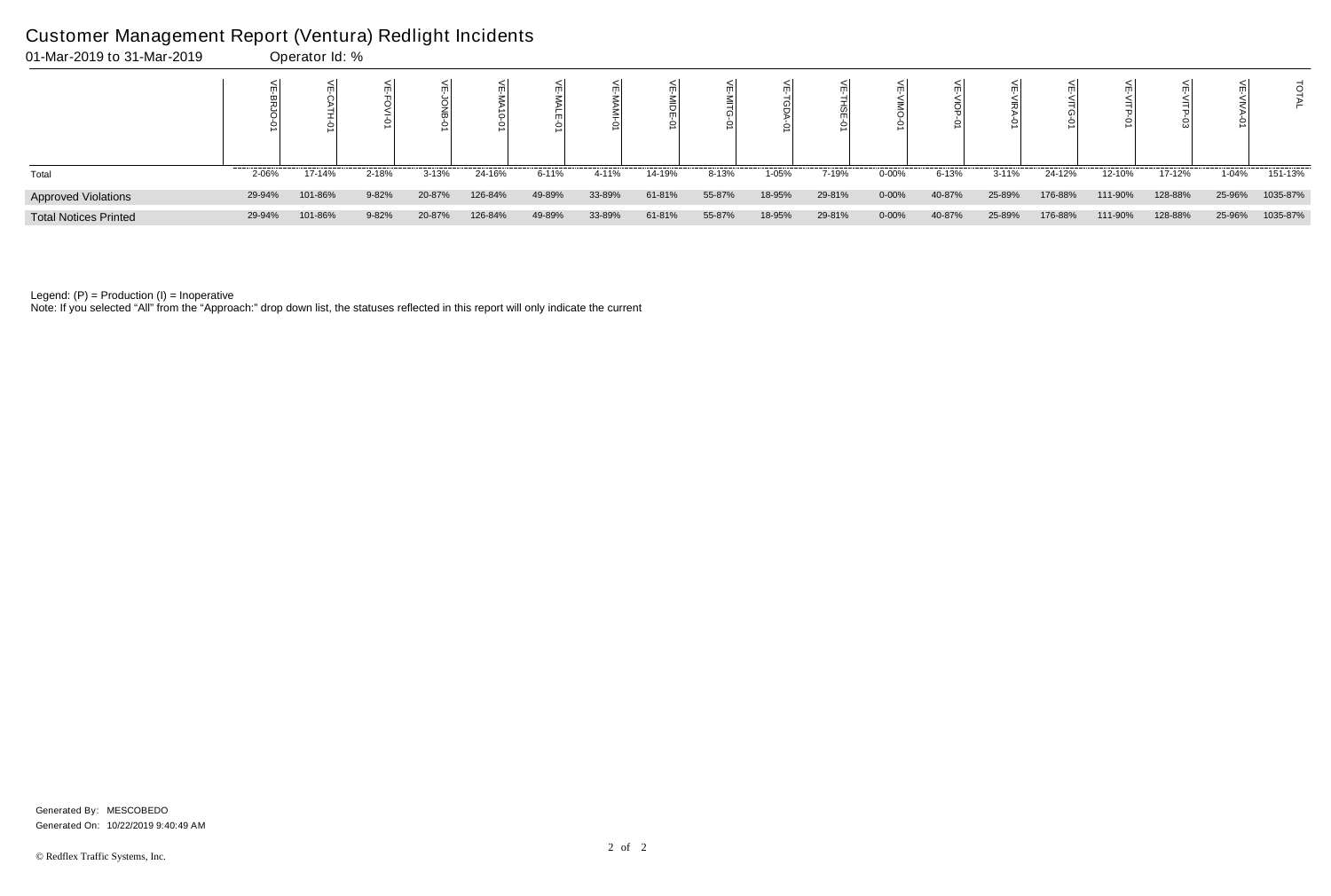## Customer Management Report (Ventura) Redlight Incidents

| 01-Mar-2019 to 31-Mar-2019   |        | Operator Id: % |       |           |         |        |        |        |        |        |        |           |           |           |         |         |         |        |          |
|------------------------------|--------|----------------|-------|-----------|---------|--------|--------|--------|--------|--------|--------|-----------|-----------|-----------|---------|---------|---------|--------|----------|
|                              |        |                |       |           |         |        |        |        |        |        |        |           |           |           |         |         |         |        |          |
| Total                        | 2-06%  | 17-14%         | 2-18% | $3 - 13%$ | 24-16%  | 6-11%  | 4-11%  | 14-19% | 8-13%  | 1-05%  | 7-19%  | $0 - 00%$ | $6 - 13%$ | $3 - 11%$ | 24-12%  | 12-10%  | 17-12%  | 1-04%  | 151-13%  |
| <b>Approved Violations</b>   | 29-94% | 101-86%        | 9-82% | 20-87%    | 126-84% | 49-89% | 33-89% | 61-81% | 55-87% | 18-95% | 29-81% | 0-00%     | 40-87%    | 25-89%    | 176-88% | 111-90% | 128-88% | 25-96% | 1035-87% |
| <b>Total Notices Printed</b> | 29-94% | 101-86%        | 9-82% | 20-87%    | 126-84% | 49-89% | 33-89% | 61-81% | 55-87% | 18-95% | 29-81% | $0 - 00%$ | 40-87%    | 25-89%    | 176-88% | 111-90% | 128-88% | 25-96% | 1035-87% |

Note: If you selected "All" from the "Approach:" drop down list, the statuses reflected in this report will only indicate the current

Generated On: 10/22/2019 9:40:49 AM Generated By: MESCOBEDO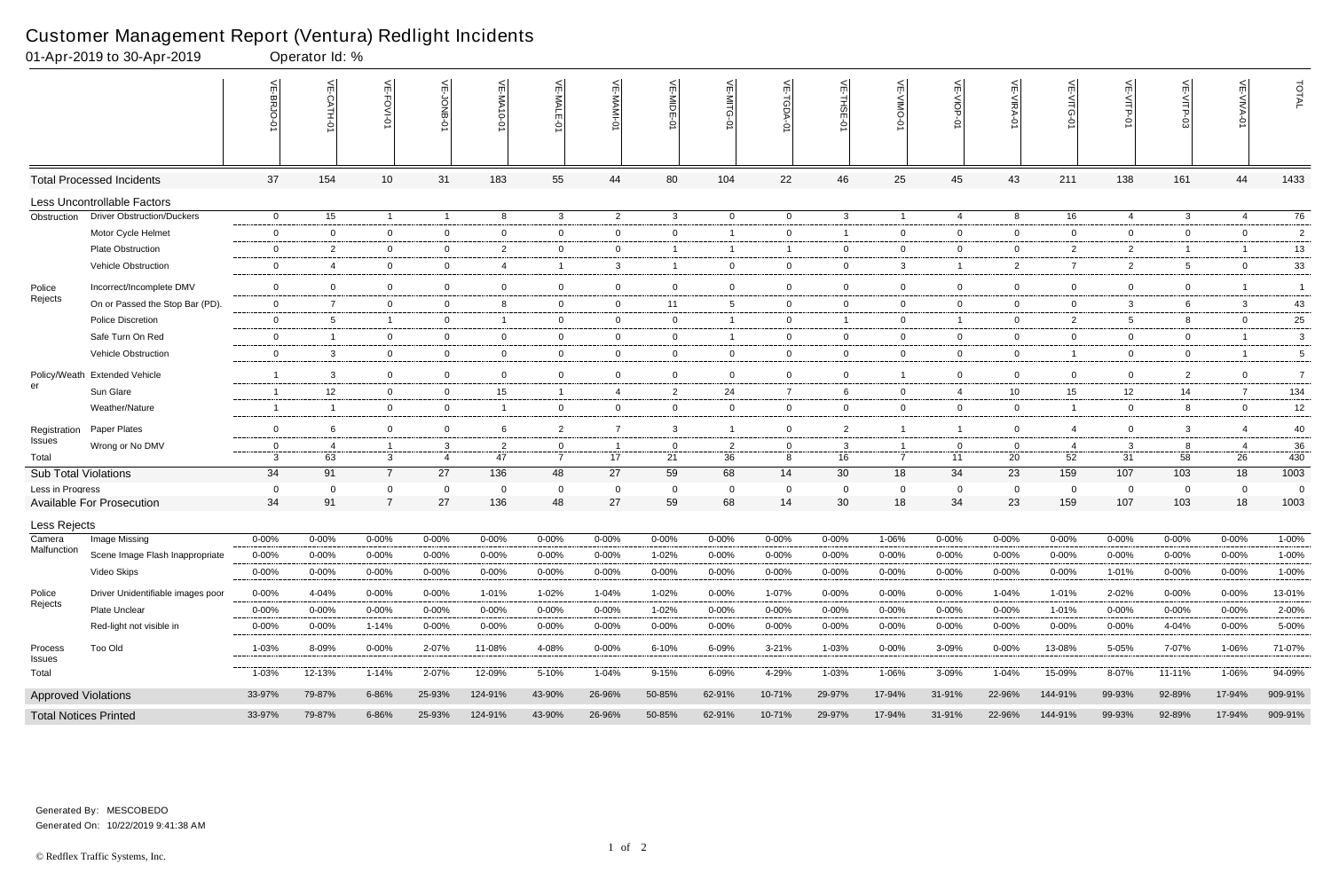|                              | 01-Apr-2019 to 30-Apr-2019        |                | Operator Id: % |                |                |                |                |                                                              |                |                 |                |                         |                |                |                |                   |                 |                |                |                |
|------------------------------|-----------------------------------|----------------|----------------|----------------|----------------|----------------|----------------|--------------------------------------------------------------|----------------|-----------------|----------------|-------------------------|----------------|----------------|----------------|-------------------|-----------------|----------------|----------------|----------------|
|                              |                                   | VE-BRJO-0'     | VE-CATH-01     | VE-FOVI-01     | VE-JONB-01     | VE-MA10-01     | VE-MALE-01     | $\stackrel{<}{\scriptstyle{\textstyle\mathsf{m}}}$<br>-MAMI- | VE-MIDE-01     | VE-MITG-<br>Ş   | 늦<br>TGDA-0    | VE-THSE-01              | $\leq$         | VE-VIOP<br>Ş   | VE-VIRA-01     | 늦<br>⋒<br>$\circ$ | VE-VITP-01      | ⋚              | 늦              | TOTAL          |
|                              | <b>Total Processed Incidents</b>  | 37             | 154            | 10             | 31             | 183            | 55             | 44                                                           | 80             | 104             | 22             | 46                      | 25             | 45             | 43             | 211               | 138             | 161            | 44             | 1433           |
|                              | Less Uncontrollable Factors       |                |                |                |                |                |                |                                                              |                |                 |                |                         |                |                |                |                   |                 |                |                |                |
| Obstruction                  | <b>Driver Obstruction/Duckers</b> | $\overline{0}$ | 15             | $\overline{1}$ | $\overline{1}$ | 8              | $\mathbf{3}$   | $\overline{2}$                                               | $\mathbf{3}$   | $\overline{0}$  | $\overline{0}$ | $\mathbf{3}$            | $\overline{1}$ | 4              | 8              | 16                | $\overline{4}$  | $\mathbf{3}$   | 4              | 76             |
|                              | Motor Cycle Helmet                | $\mathbf 0$    | $\mathbf 0$    | $\mathbf 0$    | $\mathbf 0$    | $\overline{0}$ | $\mathbf 0$    | $\mathbf 0$                                                  | $\mathbf 0$    | $\mathbf{1}$    | $\mathbf 0$    | $\overline{\mathbf{1}}$ | $\overline{0}$ | $\mathbf 0$    | $\mathbf 0$    | 0                 | $\mathbf 0$     | $\mathbf 0$    | $\mathbf 0$    | $\overline{2}$ |
|                              | Plate Obstruction                 | $\mathbf 0$    | $\overline{2}$ | $\overline{0}$ | $\overline{0}$ | $\overline{2}$ | $\mathbf 0$    | $\overline{0}$                                               | -1             | -1              | $\overline{1}$ | $\overline{0}$          | $\mathbf{0}$   | $\overline{0}$ | $\mathbf 0$    | 2                 | $\overline{2}$  | $\overline{1}$ |                | 13             |
|                              | Vehicle Obstruction               | $\mathbf 0$    | $\overline{4}$ | $\overline{0}$ | $\overline{0}$ | 4              | $\mathbf{1}$   | $\mathbf{3}$                                                 | -1             | $\overline{0}$  | $\overline{0}$ | $\mathbf 0$             | 3              | $\overline{1}$ | $\overline{2}$ | 7                 | $\overline{2}$  | 5              | $\overline{0}$ | 33             |
| Police                       | Incorrect/Incomplete DMV          | $\mathbf 0$    | $\overline{0}$ | $\overline{0}$ | $\mathbf 0$    | $\overline{0}$ | $\overline{0}$ | $\mathbf 0$                                                  | $\overline{0}$ | $\mathbf 0$     | $\overline{0}$ | $\overline{0}$          | $\overline{0}$ | $\overline{0}$ | $\mathbf 0$    | 0                 | $\mathbf 0$     | $\mathbf 0$    |                | $\overline{1}$ |
| Rejects                      | On or Passed the Stop Bar (PD).   | $\mathbf 0$    | $\overline{7}$ | $\overline{0}$ | $\overline{0}$ | 8              | $\overline{0}$ | $\overline{0}$                                               | 11             | $5\overline{)}$ | $\mathbf 0$    | $\overline{0}$          | $\mathbf 0$    | $\overline{0}$ | $\mathbf 0$    | 0                 | $\mathbf{3}$    | 6              | $\mathbf{3}$   | 43             |
|                              | Police Discretion                 | $\overline{0}$ | 5              | 1              | $\overline{0}$ | -1             | $\mathbf 0$    | $\overline{0}$                                               | 0              | -1              | $\overline{0}$ | $\overline{\mathbf{1}}$ | 0              | $\overline{1}$ | $\mathbf 0$    | $\overline{2}$    | $5\overline{)}$ | 8              | $\mathbf 0$    | 25             |
|                              | Safe Turn On Red                  | $\mathbf 0$    |                | $\overline{0}$ | $\overline{0}$ | $\overline{0}$ | $\overline{0}$ | $\overline{0}$                                               | $\mathbf 0$    | -1              | $\mathbf{0}$   | $\overline{0}$          | $\mathbf 0$    | $\overline{0}$ | $\mathbf 0$    | 0                 | $\overline{0}$  | $\mathbf{0}$   | - 1            | 3              |
|                              | Vehicle Obstruction               | $\mathbf 0$    | $\mathbf{3}$   | $\mathbf 0$    | $\mathbf 0$    | $\overline{0}$ | $\mathbf 0$    | $\overline{0}$                                               | $\mathbf{0}$   | $\overline{0}$  | $\overline{0}$ | $\mathbf 0$             | $\overline{0}$ | $\mathbf 0$    | $\mathbf 0$    | -1                | $\overline{0}$  | $\mathbf 0$    | -1             | 5              |
|                              | Policy/Weath Extended Vehicle     | $\mathbf 1$    | $\mathbf{3}$   | $\overline{0}$ | $\overline{0}$ | $\overline{0}$ | $\overline{0}$ | $\mathbf 0$                                                  | $\mathbf{0}$   | $\overline{0}$  | $\mathbf 0$    | $\overline{0}$          |                | $\mathbf 0$    | $\overline{0}$ | $\Omega$          | $\overline{0}$  | 2              | $\overline{0}$ | $\overline{7}$ |
| er                           | Sun Glare                         | $\overline{1}$ | 12             | $\overline{0}$ | $\overline{0}$ | 15             | -1             | $\overline{4}$                                               | $\overline{2}$ | 24              | $\overline{7}$ | 6                       | $\mathbf{0}$   | 4              | 10             | 15                | 12 <sup>°</sup> | 14             | $\overline{7}$ | 134            |
|                              | Weather/Nature                    | $\overline{1}$ |                | $\overline{0}$ | $\mathbf 0$    | -1             | $\overline{0}$ | $\mathbf 0$                                                  | $\mathbf{0}$   | $\mathbf{0}$    | $\overline{0}$ | $\mathbf{0}$            | $\overline{0}$ | $\overline{0}$ | $\mathbf 0$    | $\overline{1}$    | $\overline{0}$  | 8              | $\overline{0}$ | 12             |
| Registration                 | Paper Plates                      | $\overline{0}$ | 6              | $\overline{0}$ | $\overline{0}$ | 6              | $\overline{2}$ | $\overline{7}$                                               | 3              | $\mathbf{1}$    | $\mathbf 0$    | 2                       | -1             | $\overline{1}$ | $\mathbf 0$    | 4                 | $\overline{0}$  | 3              | $\overline{4}$ | 40             |
| Issues                       | Wrong or No DMV                   | $\mathbf 0$    |                |                | 3              | 2              | 0              | $\overline{1}$                                               | - 0            | 2               | $\overline{0}$ | -3                      | -1             | 0              | - 0            | 4                 | 3               | 8              | $\overline{4}$ | 36             |
| Total                        |                                   | 3              | 63             | 3              | $\overline{4}$ | 47             | $\overline{7}$ | 17                                                           | 21             | 36              | 8              | 16                      | $\overline{7}$ | 11             | 20             | 52                | 31              | 58             | 26             | 430            |
| <b>Sub Total Violations</b>  |                                   | 34             | 91             | $\overline{7}$ | 27             | 136            | 48             | 27                                                           | 59             | 68              | 14             | 30                      | 18             | 34             | 23             | 159               | 107             | 103            | 18             | 1003           |
| Less in Progress             |                                   | 0              | $\Omega$       | $\mathbf 0$    | 0              | $\Omega$       | $\mathbf 0$    | $\overline{0}$                                               | 0              | 0               | $\mathbf 0$    | 0                       | 0              | $\mathbf 0$    | - 0            | $\overline{0}$    | 0               | $\mathbf 0$    | $\Omega$       | 0              |
|                              | <b>Available For Prosecution</b>  | 34             | 91             | $\overline{7}$ | 27             | 136            | 48             | 27                                                           | 59             | 68              | 14             | 30                      | 18             | 34             | 23             | 159               | 107             | 103            | 18             | 1003           |
| Less Rejects                 |                                   |                |                |                |                |                |                |                                                              |                |                 |                |                         |                |                |                |                   |                 |                |                |                |
| Camera<br>Malfunction        | Image Missing                     | $0 - 00%$      | $0 - 00%$      | 0-00%          | 0-00%          | $0 - 00%$      | $0 - 00\%$     | 0-00%                                                        | 0-00%          | $0 - 00%$       | $0 - 00%$      | 0-00%                   | 1-06%          | $0 - 00\%$     | $0 - 00%$      | 0-00%             | 0-00%           | 0-00%          | $0 - 00\%$     | 1-00%          |
|                              | Scene Image Flash Inappropriate   | $0 - 00%$      | $0 - 00%$      | $0 - 00%$      | 0-00%          | $0 - 00%$      | $0 - 00\%$     | 0-00%                                                        | 1-02%          | 0-00%           | $0 - 00%$      | $0 - 00%$               | 0-00%          | $0 - 00%$      | $0 - 00\%$     | 0-00%             | 0-00%           | $0 - 00\%$     | $0 - 00\%$     | 1-00%          |
|                              | Video Skips                       | $0 - 00%$      | $0 - 00%$      | $0 - 00%$      | 0-00%          | 0-00%          | $0 - 00\%$     | 0-00%                                                        | 0-00%          | $0 - 00\%$      | $0 - 00%$      | 0-00%                   | 0-00%          | $0 - 00%$      | $0 - 00%$      | 0-00%             | 1-01%           | 0-00%          | $0 - 00\%$     | 1-00%          |
| Police                       | Driver Unidentifiable images poor | $0 - 00%$      | 4-04%          | $0 - 00%$      | $0 - 00%$      | 1-01%          | $1 - 02%$      | 1-04%                                                        | 1-02%          | $0 - 00\%$      | 1-07%          | 0-00%                   | $0 - 00\%$     | $0 - 00\%$     | 1-04%          | 1-01%             | 2-02%           | $0 - 00\%$     | $0 - 00\%$     | 13-01%         |
| Rejects                      | Plate Unclear                     | $0 - 00%$      | $0 - 00\%$     | $0 - 00%$      | $0 - 00%$      | $0 - 00\%$     | $0 - 00\%$     | $0 - 00%$                                                    | 1-02%          | $0 - 00\%$      | $0 - 00\%$     | $0 - 00%$               | $0 - 00%$      | $0 - 00\%$     | $0 - 00%$      | 1-01%             | $0 - 00%$       | $0 - 00%$      | $0 - 00%$      | 2-00%          |
|                              | Red-light not visible in          | $0 - 00%$      | $0 - 00\%$     | 1-14%          | $0 - 00%$      | $0 - 00\%$     | 0-00%          | 0-00%                                                        | $0 - 00%$      | 0-00%           | $0 - 00\%$     | $0 - 00%$               | 0-00%          | $0 - 00\%$     | 0-00%          | 0-00%             | 0-00%           | 4-04%          | $0 - 00%$      | 5-00%          |
| Process<br>Issues            | Too Old                           | 1-03%          | 8-09%          | $0 - 00\%$     | 2-07%          | 11-08%         | 4-08%          | $0 - 00\%$                                                   | 6-10%          | 6-09%           | $3 - 21%$      | 1-03%                   | $0 - 00\%$     | 3-09%          | $0 - 00\%$     | 13-08%            | 5-05%           | 7-07%          | 1-06%          | 71-07%         |
| Total                        |                                   | 1-03%          | 12-13%         | $1 - 14%$      | 2-07%          | 12-09%         | 5-10%          | 1-04%                                                        | 9-15%          | 6-09%           | 4-29%          | 1-03%                   | 1-06%          | 3-09%          | 1-04%          | 15-09%            | 8-07%           | 11-11%         | 1-06%          | 94-09%         |
| <b>Approved Violations</b>   |                                   | 33-97%         | 79-87%         | 6-86%          | 25-93%         | 124-91%        | 43-90%         | 26-96%                                                       | 50-85%         | 62-91%          | 10-71%         | 29-97%                  | 17-94%         | 31-91%         | 22-96%         | 144-91%           | 99-93%          | 92-89%         | 17-94%         | 909-91%        |
| <b>Total Notices Printed</b> |                                   | 33-97%         | 79-87%         | 6-86%          | 25-93%         | 124-91%        | 43-90%         | 26-96%                                                       | 50-85%         | 62-91%          | 10-71%         | 29-97%                  | 17-94%         | 31-91%         | 22-96%         | 144-91%           | 99-93%          | 92-89%         | 17-94%         | 909-91%        |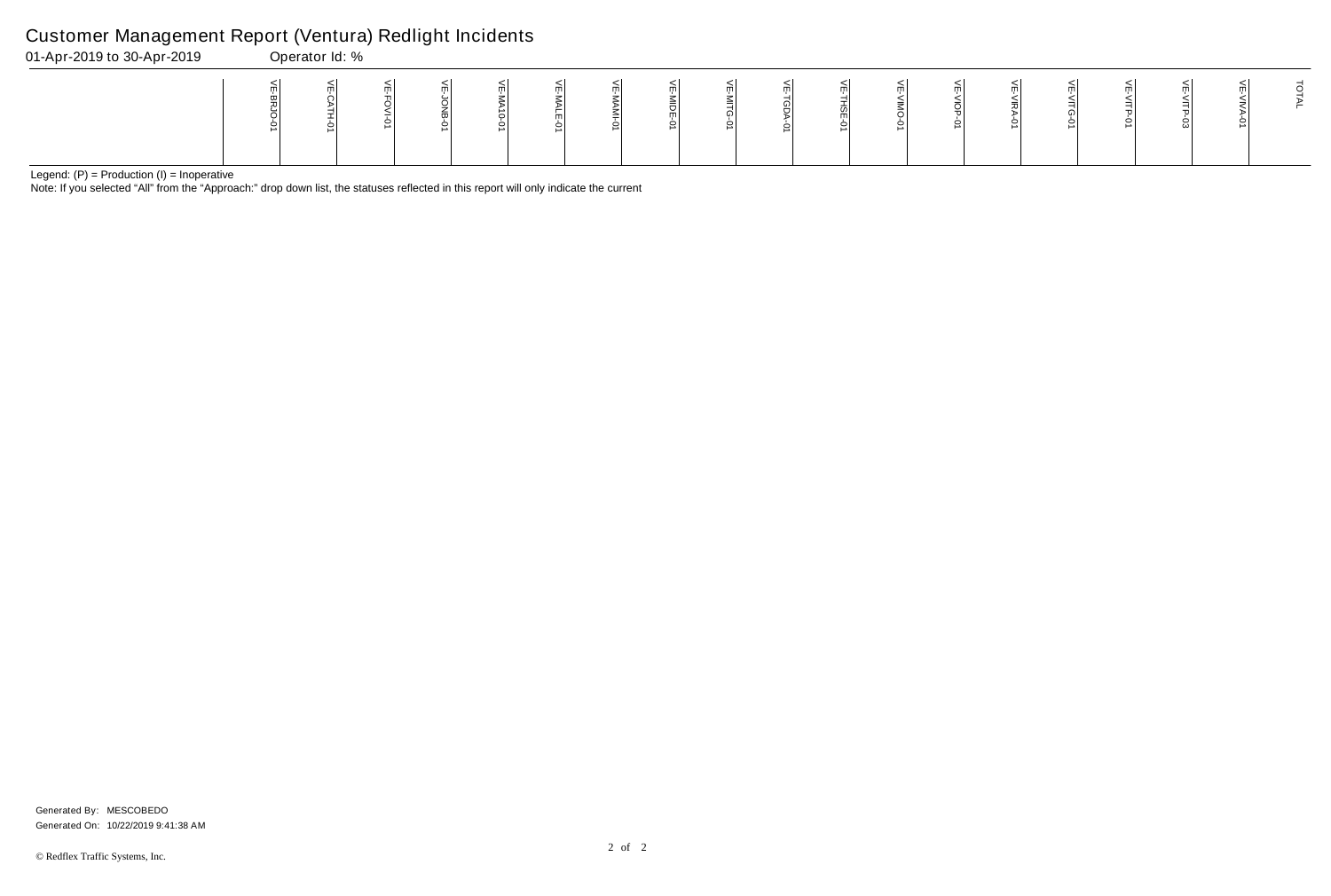Note: If you selected "All" from the "Approach:" drop down list, the statuses reflected in this report will only indicate the current

## Customer Management Report (Ventura) Redlight Incidents

| 01-Apr-2019 to 30-Apr-2019 | Operator Id: % |    |   |          |   |                      |   |                              |  |
|----------------------------|----------------|----|---|----------|---|----------------------|---|------------------------------|--|
|                            |                | ml | ∸ | mі<br>mı | ш | ml<br>ا ب<br>ml<br>ິ | m | m<br>$\overline{\mathsf{S}}$ |  |

VE-VIOP-01

 $\overline{\text{VE-NIOP-01}}$ 

| VE-VIRA-01 | VE-VITG-01 | VE-VITP-01 | VE-VITP-03 | VE-VIVA-01 | <b>TAL</b> |
|------------|------------|------------|------------|------------|------------|
|            |            |            |            |            |            |

Generated On: 10/22/2019 9:41:38 AM Generated By: MESCOBEDO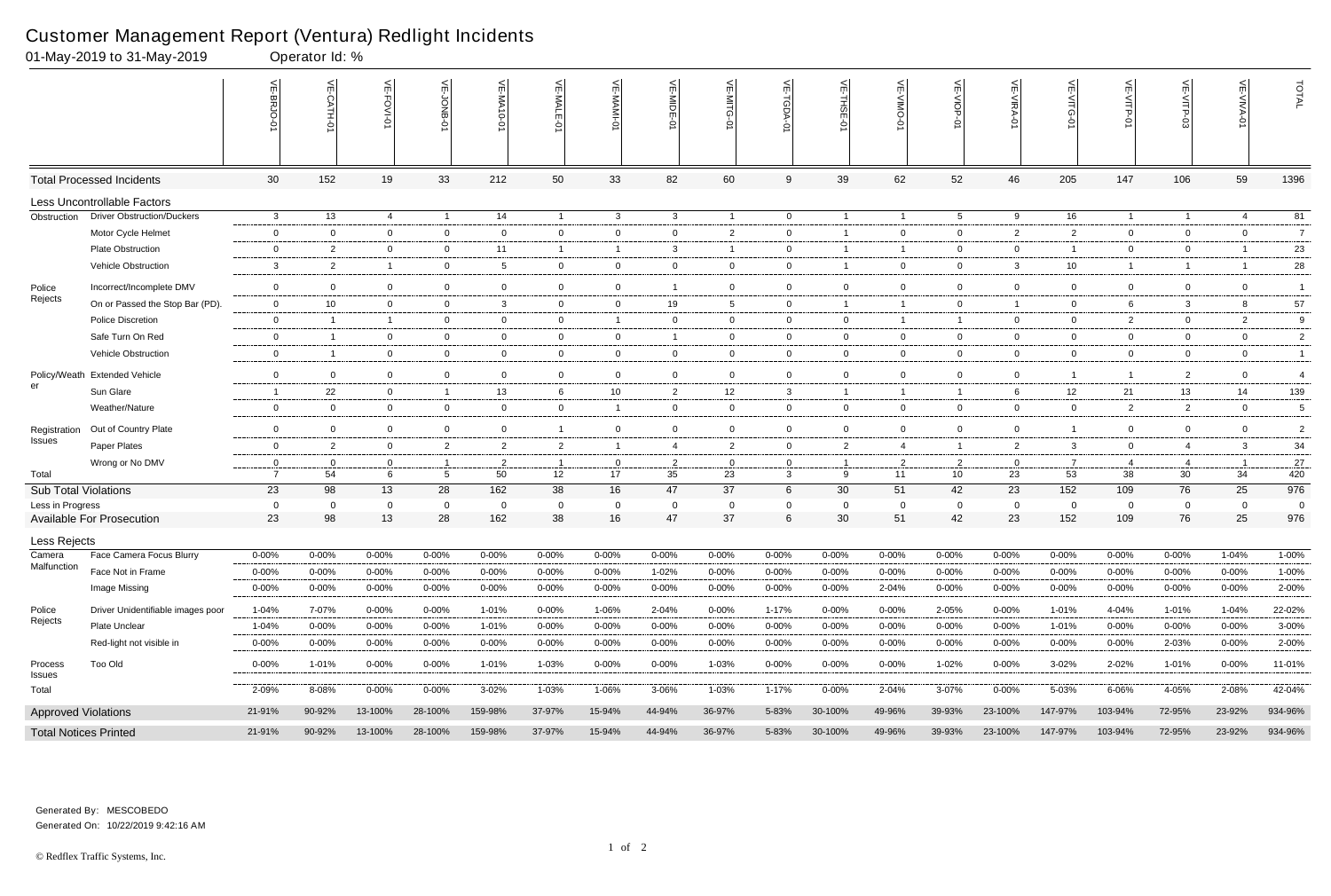|                              | 01-May-2019 to 31-May-2019        |                 | Operator Id: %  |                |                      |                    |                |                   |                   |                            |                               |                         |                |                      |                   |                       |                |                      |                               |                       |
|------------------------------|-----------------------------------|-----------------|-----------------|----------------|----------------------|--------------------|----------------|-------------------|-------------------|----------------------------|-------------------------------|-------------------------|----------------|----------------------|-------------------|-----------------------|----------------|----------------------|-------------------------------|-----------------------|
|                              |                                   |                 | $\leq$<br>TH-Q' | 늰<br>FOVI-01   | ⊭                    | VE-MA<br>$10 - 01$ | VE-MALE<br>ò   | 는                 | VE-MIDE-01        | VE-MITG-<br>$\overline{5}$ | VE-TGDA-0                     | VE-THSE-01              | VE-VIMO-01     | VE-VIOP-07           | VE-VIRA-01        | ے<br>ධ<br>Ò           | VE-VITP-01     | 닞<br>ರ-ರ<br>ದ        | $\widetilde{\mathbb{F}}$<br>Ò | TOTAL                 |
|                              | <b>Total Processed Incidents</b>  | 30 <sup>°</sup> | 152             | 19             | 33                   | 212                | 50             | 33                | 82                | 60                         | 9                             | 39                      | 62             | 52                   | 46                | 205                   | 147            | 106                  | 59                            | 1396                  |
|                              | Less Uncontrollable Factors       |                 |                 |                |                      |                    |                |                   |                   |                            |                               |                         |                |                      |                   |                       |                |                      |                               |                       |
| Obstruction                  | <b>Driver Obstruction/Duckers</b> | 3               | 13              | $\overline{4}$ | $\overline{1}$       | 14                 | $\overline{1}$ | $\mathbf{3}$      | $\mathbf{3}$      | $\overline{1}$             | $\overline{0}$                | $\overline{1}$          | $\mathbf{1}$   | $5\overline{)}$      | 9                 | 16                    | $\overline{1}$ | $\overline{1}$       | 4                             | 81                    |
|                              | Motor Cycle Helmet                | $\overline{0}$  | $\Omega$        | $\overline{0}$ | $\mathbf 0$          | $\mathbf 0$        | $\mathbf{0}$   | $\overline{0}$    | $\mathbf{0}$      | $\mathbf{2}$               | 0                             | -1                      | $\mathbf{0}$   | $\overline{0}$       | $\overline{2}$    | 2                     | $\overline{0}$ | $\mathbf{0}$         | $\overline{0}$                | $\overline{7}$        |
|                              | <b>Plate Obstruction</b>          | $\overline{0}$  | 2               | $\overline{0}$ | $\overline{0}$       | 11                 | -1             | $\overline{1}$    | $\mathbf{3}$      | -1                         | 0                             | -1                      | 1              | $\overline{0}$       | $\mathbf 0$       | -1                    | $\overline{0}$ | $\mathbf{0}$         |                               | 23                    |
|                              | Vehicle Obstruction               | $\mathbf{3}$    | $\overline{2}$  | $\overline{1}$ | 0                    | $5\overline{)}$    | $\mathbf{0}$   | $\overline{0}$    | $\mathbf 0$       | $\mathbf{0}$               | 0                             | $\overline{\mathbf{1}}$ | $\mathbf{0}$   | $\overline{0}$       | $\mathbf{3}$      | 10                    | $\overline{1}$ | $\overline{1}$       |                               | 28                    |
| Police                       | Incorrect/Incomplete DMV          | $\mathbf 0$     | $\mathbf 0$     | $\mathbf 0$    | $\mathbf 0$          | $\mathbf 0$        | $\mathbf{0}$   | $\overline{0}$    |                   | $\overline{0}$             | $\mathbf 0$                   | $\overline{0}$          | $\mathbf{0}$   | $\mathbf 0$          | $\mathbf 0$       | $\mathbf 0$           | $\mathbf 0$    | $\mathbf 0$          | $\mathbf 0$                   | $\overline{1}$        |
| Rejects                      | On or Passed the Stop Bar (PD).   | $\mathbf{0}$    | 10              | $\overline{0}$ | $\overline{0}$       | 3                  | $\mathbf{0}$   | $\overline{0}$    | 19                | 5                          | $\mathbf{0}$                  | $\overline{1}$          | 1              | $\overline{0}$       | -1                | 0                     | 6              | 3                    | 8                             | 57                    |
|                              | <b>Police Discretion</b>          | $\overline{0}$  |                 |                | 0                    | 0                  | $\mathbf{0}$   | $\overline{1}$    | 0                 | 0                          | 0                             | $\overline{0}$          |                | $\mathbf{1}$         | $\overline{0}$    | 0                     | $\overline{2}$ | 0                    | $\overline{2}$                | 9                     |
|                              | Safe Turn On Red                  | $\overline{0}$  | - 1             | $\mathbf 0$    | $\overline{0}$       | $\mathbf{0}$       | $\mathbf{0}$   | $\overline{0}$    | -1                | $\mathbf{0}$               | 0                             | $\overline{0}$          | $\mathbf{0}$   | $\overline{0}$       | $\overline{0}$    | $\overline{0}$        | $\overline{0}$ | $\mathbf{0}$         | $\overline{0}$                | $\overline{2}$        |
|                              | Vehicle Obstruction               | $\overline{0}$  | -1              | $\overline{0}$ | $\overline{0}$       | $\mathbf{0}$       | $\mathbf{0}$   | $\overline{0}$    | $\overline{0}$    | $\mathbf{0}$               | 0                             | $\overline{0}$          | $\mathbf{0}$   | $\overline{0}$       | $\overline{0}$    | $\mathbf{0}$          | $\overline{0}$ | $\mathbf{0}$         | $\mathbf{0}$                  | $\mathbf{1}$          |
| Policy/Weath                 | <b>Extended Vehicle</b>           | $\overline{0}$  | $\Omega$        | $\overline{0}$ | $\overline{0}$       | $\mathbf{0}$       | $\mathbf{0}$   | $\overline{0}$    | $\mathbf 0$       | $\mathbf{0}$               | 0                             | $\overline{0}$          | $\mathbf{0}$   | $\overline{0}$       | $\overline{0}$    | 1                     | $\overline{1}$ | $\overline{2}$       | $\overline{0}$                | $\overline{4}$        |
| er                           | Sun Glare                         | -1              | 22              | $\overline{0}$ | $\overline{1}$       | 13                 | 6              | 10                | $\overline{2}$    | 12                         | 3                             | -1                      | 1              | $\overline{1}$       | 6                 | 12                    | 21             | 13                   | 14                            | 139                   |
|                              | Weather/Nature                    | $\overline{0}$  | 0               | $\overline{0}$ | $\overline{0}$       | $\mathbf{0}$       | $\mathbf{0}$   | $\overline{1}$    | $\mathbf 0$       | $\mathbf{0}$               | 0                             | $\overline{0}$          | $\mathbf{0}$   | $\overline{0}$       | $\overline{0}$    | $\mathbf{0}$          | $\overline{2}$ | $\overline{2}$       | $\overline{0}$                | 5                     |
| Registration                 | Out of Country Plate              | $\overline{0}$  | $\Omega$        | $\overline{0}$ | $\overline{0}$       | $\mathbf{0}$       | $\mathbf{1}$   | $\mathbf{0}$      | $\mathbf 0$       | $\mathbf{0}$               | 0                             | $\overline{0}$          | $\mathbf{0}$   | $\overline{0}$       | $\overline{0}$    | -1                    | $\overline{0}$ | $\mathbf 0$          | $\overline{0}$                | $\overline{2}$        |
| Issues                       | Paper Plates                      | $\overline{0}$  | $\overline{2}$  | $\overline{0}$ | $\overline{2}$       | $\overline{2}$     | $\overline{2}$ | $\overline{1}$    | $\overline{4}$    | $\overline{2}$             | $\mathbf 0$                   | $\overline{2}$          | $\overline{4}$ | $\overline{1}$       | $\overline{2}$    | 3                     | $\overline{0}$ | $\overline{4}$       | $\mathbf{3}$                  | 34                    |
|                              | Wrong or No DMV                   | 0               | 0               | 0              | - 1                  | $\overline{2}$     | $\mathbf 1$    | $\overline{0}$    | $\overline{2}$    | 0                          | $\mathbf{0}$                  |                         | $\overline{2}$ | $\overline{2}$       | 0                 | -7                    | 4              | 4                    | - 1                           | 27                    |
| Total                        |                                   | $\overline{7}$  | 54              | 6              | $5\phantom{.0}$      | 50                 | 12             | 17                | 35                | 23                         | 3                             | 9                       | 11             | 10 <sup>°</sup>      | 23                | 53                    | 38             | 30                   | 34                            | 420                   |
| <b>Sub Total Violations</b>  |                                   | 23              | 98              | 13             | 28                   | 162                | 38             | 16                | 47                | 37                         | 6                             | 30                      | 51             | 42                   | 23                | 152                   | 109            | 76                   | 25                            | 976                   |
| Less in Progress             | <b>Available For Prosecution</b>  | 0<br>23         | 0<br>98         | 0<br>13        | $\overline{0}$<br>28 | 0<br>162           | 0<br>38        | $\mathbf 0$<br>16 | $\mathbf 0$<br>47 | 0<br>37                    | $\mathbf 0$<br>$6\phantom{1}$ | $\overline{0}$<br>30    | 0<br>51        | $\overline{0}$<br>42 | $\mathbf 0$<br>23 | $\overline{0}$<br>152 | 0<br>109       | $\overline{0}$<br>76 | - 0<br>25                     | $\overline{0}$<br>976 |
|                              |                                   |                 |                 |                |                      |                    |                |                   |                   |                            |                               |                         |                |                      |                   |                       |                |                      |                               |                       |
| Less Rejects<br>Camera       | Face Camera Focus Blurry          | $0 - 00%$       | 0-00%           | $0 - 00\%$     | $0 - 00%$            | $0 - 00%$          | $0 - 00\%$     | $0 - 00%$         | 0-00%             | 0-00%                      | $0 - 00%$                     | $0 - 00%$               | 0-00%          | $0 - 00%$            | $0 - 00\%$        | $0 - 00%$             | $0 - 00%$      | $0 - 00%$            | 1-04%                         | 1-00%                 |
| Malfunction                  | Face Not in Frame                 | $0 - 00%$       | 0-00%           | $0 - 00%$      | 0-00%                | $0 - 00%$          | $0 - 00\%$     | $0 - 00%$         | 1-02%             | $0 - 00%$                  | 0-00%                         | $0 - 00%$               | $0 - 00%$      | $0 - 00%$            | $0 - 00%$         | 0-00%                 | 0-00%          | $0 - 00%$            | $0 - 00\%$                    | 1-00%                 |
|                              | Image Missing                     | $0 - 00\%$      | $0 - 00\%$      | $0 - 00\%$     | $0 - 00\%$           | $0 - 00\%$         | $0 - 00\%$     | $0 - 00%$         | $0 - 00\%$        | $0 - 00\%$                 | $0 - 00\%$                    | $0 - 00%$               | 2-04%          | $0 - 00\%$           | $0 - 00\%$        | $0 - 00%$             | $0 - 00\%$     | $0 - 00\%$           | $0 - 00\%$                    | 2-00%                 |
| Police                       | Driver Unidentifiable images poor | 1-04%           | 7-07%           | $0 - 00%$      | $0 - 00%$            | 1-01%              | $0 - 00\%$     | 1-06%             | 2-04%             | $0 - 00\%$                 | 1-17%                         | $0 - 00%$               | $0 - 00%$      | 2-05%                | $0 - 00\%$        | 1-01%                 | 4-04%          | 1-01%                | 1-04%                         | 22-02%                |
| Rejects                      | Plate Unclear                     | 1-04%           | $0 - 00%$       | $0 - 00%$      | $0 - 00%$            | 1-01%              | $0 - 00\%$     | $0 - 00%$         | 0-00%             | $0 - 00\%$                 | $0 - 00%$                     | $0 - 00%$               | $0 - 00%$      | $0 - 00%$            | $0 - 00\%$        | 1-01%                 | 0-00%          | $0 - 00%$            | $0 - 00\%$                    | 3-00%                 |
|                              | Red-light not visible in          | 0-00%           | $0 - 00\%$      | $0 - 00\%$     | $0 - 00\%$           | $0 - 00\%$         | $0 - 00\%$     | 0-00%             | $0 - 00\%$        | $0 - 00%$                  | $0 - 00\%$                    | $0 - 00%$               | 0-00%          | $0 - 00\%$           | $0 - 00\%$        | $0 - 00%$             | $0 - 00\%$     | 2-03%                | $0 - 00\%$                    | 2-00%                 |
| Process                      | Too Old                           | $0 - 00\%$      | 1-01%           | $0 - 00\%$     | $0 - 00\%$           | 1-01%              | 1-03%          | $0 - 00\%$        | $0 - 00\%$        | 1-03%                      | $0 - 00\%$                    | $0 - 00\%$              | $0 - 00\%$     | 1-02%                | $0 - 00\%$        | $3 - 02%$             | 2-02%          | 1-01%                | $0 - 00\%$                    | 11-01%                |
| <b>Issues</b><br>Total       |                                   | 2-09%           | 8-08%           | $0 - 00\%$     | $0 - 00\%$           | 3-02%              | 1-03%          | 1-06%             | 3-06%             | 1-03%                      | 1-17%                         | $0 - 00%$               | 2-04%          | 3-07%                | $0 - 00\%$        | 5-03%                 | 6-06%          | 4-05%                | 2-08%                         | 42-04%                |
| <b>Approved Violations</b>   |                                   | 21-91%          | 90-92%          | 13-100%        | 28-100%              | 159-98%            | 37-97%         | 15-94%            | 44-94%            | 36-97%                     | 5-83%                         | 30-100%                 | 49-96%         | 39-93%               | 23-100%           | 147-97%               | 103-94%        | 72-95%               | 23-92%                        | 934-96%               |
| <b>Total Notices Printed</b> |                                   | 21-91%          | 90-92%          | 13-100%        | 28-100%              | 159-98%            | 37-97%         | 15-94%            | 44-94%            | 36-97%                     | 5-83%                         | 30-100%                 | 49-96%         | 39-93%               | 23-100%           | 147-97%               | 103-94%        | 72-95%               | 23-92%                        | 934-96%               |

Generated On: 10/22/2019 9:42:16 AM Generated By: MESCOBEDO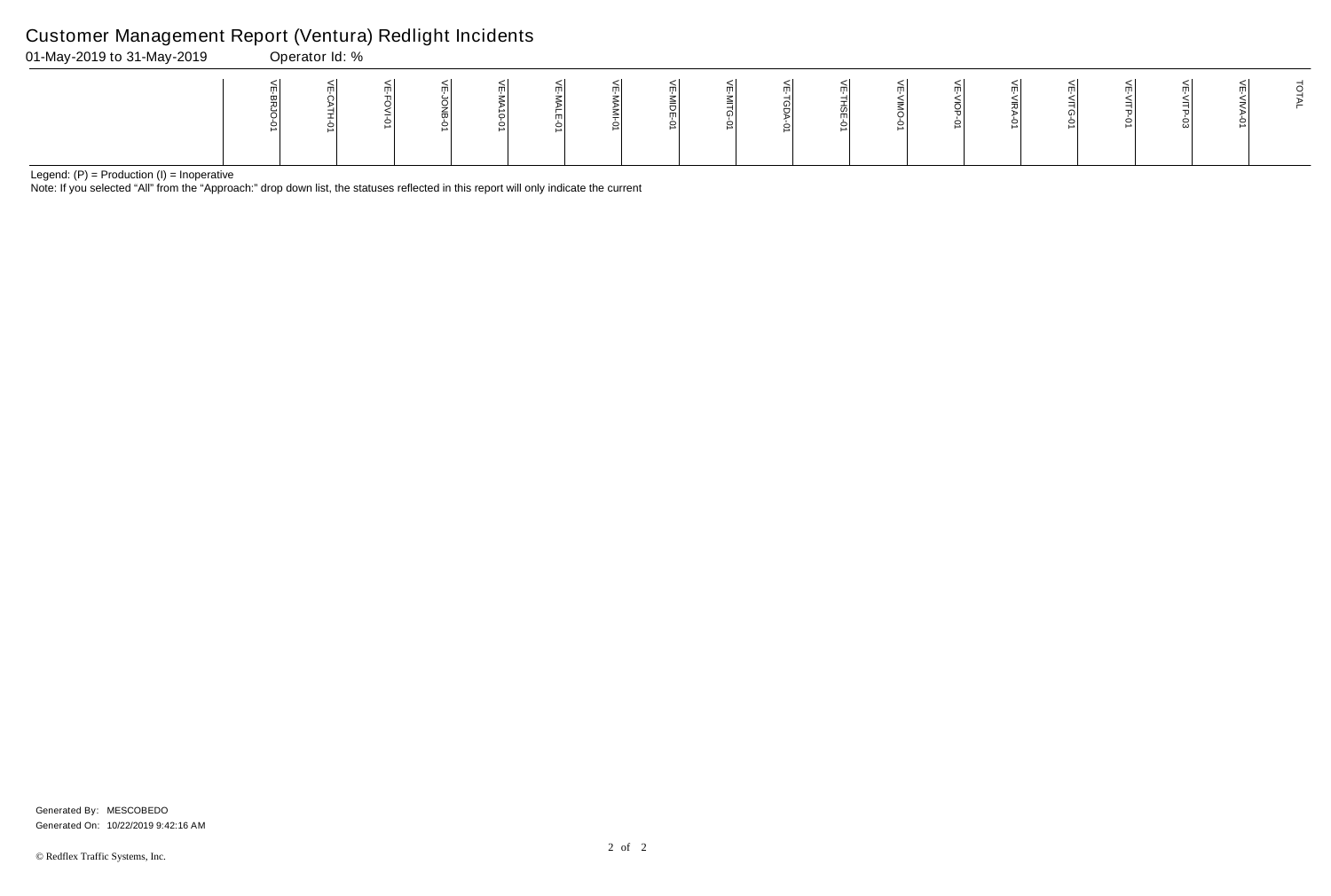Note: If you selected "All" from the "Approach:" drop down list, the statuses reflected in this report will only indicate the current

## Customer Management Report (Ventura) Redlight Incidents

01-May-2019 to 31-May-2019 Operator Id: %

|  | $\begin{array}{ccc}\n\frac{1}{2} & \frac{1}{2} & \frac{1}{2} \\ \frac{1}{2} & \frac{1}{2} & \frac{1}{2} \\ \frac{1}{2} & \frac{1}{2} & \frac{1}{2}\n\end{array}$ |  | )<br>이다.<br>이 이 이 시 | $\frac{1}{\sqrt{10}}$ | $\frac{1}{\sqrt{E}}$ | $\begin{array}{ccc}\n\text{N} & \text{N} & \text{N} \\ \hline\n\vdots & \text{N} & \text{N} \\ \hline\n\vdots & \text{N} & \text{N}\n\end{array}$ |  |  |  |  |
|--|------------------------------------------------------------------------------------------------------------------------------------------------------------------|--|---------------------|-----------------------|----------------------|---------------------------------------------------------------------------------------------------------------------------------------------------|--|--|--|--|
|  |                                                                                                                                                                  |  |                     |                       |                      |                                                                                                                                                   |  |  |  |  |
|  |                                                                                                                                                                  |  |                     |                       |                      |                                                                                                                                                   |  |  |  |  |
|  |                                                                                                                                                                  |  |                     |                       |                      |                                                                                                                                                   |  |  |  |  |

Generated On: 10/22/2019 9:42:16 AM Generated By: MESCOBEDO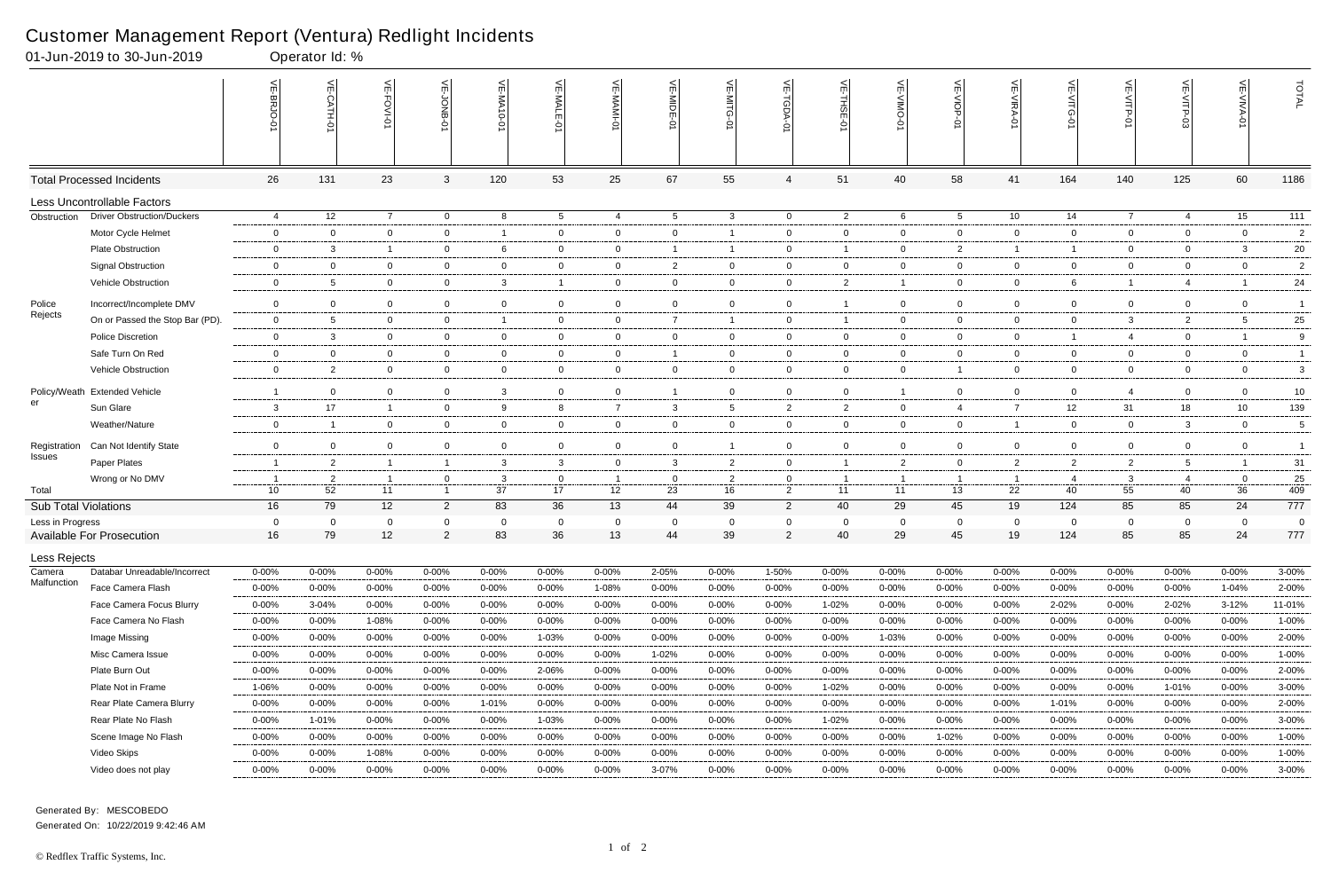Generated By: MESCOBEDO Generated On: 10/22/2019 9:42:46 AM

|                               | 01-Jun-2019 to 30-Jun-2019        |                 | Operator Id: % |                |                |                |                 |                |                 |                 |                    |                         |                |                  |                |                |                |                          |                |                |
|-------------------------------|-----------------------------------|-----------------|----------------|----------------|----------------|----------------|-----------------|----------------|-----------------|-----------------|--------------------|-------------------------|----------------|------------------|----------------|----------------|----------------|--------------------------|----------------|----------------|
|                               |                                   | VE-BRJO-0'      | VE-CATH-01     | VE-FOVI-01     | VE-JONB-0      | VE-MA10-01     | VE-MALE-01      | VE-MAMI-0      | VE-MIDE-01      | VE-MITG-0       | 븻<br><b>TGDA-0</b> | VE-THSE-01              | 븻              | VE-VIOP-0        | VE-VIRA-01     | $\leq$         | VE-VITP-01     | $\widetilde{\mathbb{F}}$ | 늰              | TOTAL          |
|                               | <b>Total Processed Incidents</b>  | 26              | 131            | 23             | 3              | 120            | 53              | 25             | 67              | 55              | $\overline{4}$     | 51                      | 40             | 58               | 41             | 164            | 140            | 125                      | 60             | 1186           |
|                               | Less Uncontrollable Factors       |                 |                |                |                |                |                 |                |                 |                 |                    |                         |                |                  |                |                |                |                          |                |                |
| Obstruction                   | <b>Driver Obstruction/Duckers</b> | 4               | 12             | $\overline{7}$ | $\overline{0}$ | 8              | $5\overline{)}$ | $\overline{4}$ | $5\overline{)}$ | $\mathbf{3}$    | $\overline{0}$     | $\overline{2}$          | 6              | $5\overline{)}$  | 10             | 14             | $\overline{7}$ | $\overline{4}$           | 15             | 111            |
|                               | Motor Cycle Helmet                | $\mathbf 0$     | $\overline{0}$ | $\mathbf 0$    | $\mathbf 0$    | -1             | $\mathbf 0$     | $\mathbf 0$    | $\mathbf 0$     | $\mathbf{1}$    | $\mathbf 0$        | $\overline{0}$          | $\overline{0}$ | $\mathbf 0$      | $\mathbf 0$    | 0              | $\overline{0}$ | $\mathbf 0$              | $\mathbf 0$    | $\overline{2}$ |
|                               | Plate Obstruction                 | $\mathbf 0$     | 3              | $\overline{1}$ | $\overline{0}$ | 6              | $\mathbf 0$     | $\overline{0}$ | -1              | $\mathbf{1}$    | $\mathbf{0}$       | - 1                     | $\mathbf 0$    | $\overline{2}$   | $\overline{1}$ | -1             | $\overline{0}$ | $\mathbf 0$              | $\mathbf{3}$   | 20             |
|                               | <b>Signal Obstruction</b>         | $\mathbf 0$     | $\overline{0}$ | $\overline{0}$ | $\overline{0}$ | 0              | $\overline{0}$  | $\overline{0}$ | $\overline{2}$  | $\overline{0}$  | $\overline{0}$     | $\mathbf 0$             | 0              | $\overline{0}$   | $\mathbf 0$    | $\overline{0}$ | $\overline{0}$ | $\mathbf 0$              | $\overline{0}$ | $\overline{2}$ |
|                               | Vehicle Obstruction               | $\mathbf 0$     | 5              | $\overline{0}$ | $\mathbf 0$    | 3              | $\overline{1}$  | $\overline{0}$ | $\mathsf{O}$    | $\overline{0}$  | $\mathsf 0$        | $\overline{c}$          | $\mathbf 1$    | $\boldsymbol{0}$ | $\mathbf 0$    | 6              | $\overline{1}$ | 4                        |                | 24             |
| Police                        | Incorrect/Incomplete DMV          | $\mathbf 0$     | $\mathbf 0$    | $\overline{0}$ | $\mathbf 0$    | $\overline{0}$ | $\mathbf 0$     | $\mathbf 0$    | $\overline{0}$  | $\overline{0}$  | $\mathbf 0$        | - 1                     | $\overline{0}$ | $\mathbf 0$      | $\mathbf 0$    | 0              | $\mathbf 0$    | $\mathbf 0$              | $\overline{0}$ | $\overline{1}$ |
| Rejects                       | On or Passed the Stop Bar (PD).   | $\mathbf 0$     | 5              | $\overline{0}$ | $\overline{0}$ | -1             | $\overline{0}$  | $\overline{0}$ | $\overline{7}$  | $\mathbf{1}$    | $\overline{0}$     | $\overline{\mathbf{1}}$ | $\overline{0}$ | $\overline{0}$   | $\mathbf 0$    | $\overline{0}$ | 3              | 2                        | 5              | 25             |
|                               | <b>Police Discretion</b>          | $\mathbf 0$     | 3              | $\overline{0}$ | $\overline{0}$ | $\overline{0}$ | $\overline{0}$  | $\overline{0}$ | $\overline{0}$  | $\overline{0}$  | $\mathbf{0}$       | $\overline{0}$          | $\overline{0}$ | $\overline{0}$   | $\mathbf 0$    | -1             | $\overline{4}$ | $\mathbf{0}$             | -1             | 9              |
|                               | Safe Turn On Red                  | $\mathbf 0$     | $\mathbf 0$    | $\mathbf 0$    | $\overline{0}$ | $\overline{0}$ | $\mathbf 0$     | $\overline{0}$ | -1              | $\overline{0}$  | $\overline{0}$     | $\overline{0}$          | $\overline{0}$ | $\mathbf 0$      | $\mathbf 0$    | $\overline{0}$ | $\overline{0}$ | $\mathbf 0$              | $\mathbf 0$    | $\overline{1}$ |
|                               | Vehicle Obstruction               | $\mathbf 0$     | $\overline{2}$ | $\mathbf 0$    | $\mathbf 0$    | 0              | $\overline{0}$  | $\overline{0}$ | $\mathbf 0$     | $\overline{0}$  | $\overline{0}$     | $\mathbf{0}$            | 0              | $\overline{1}$   | $\mathbf 0$    | 0              | $\overline{0}$ | $\mathbf 0$              | $\overline{0}$ | 3              |
|                               | Policy/Weath Extended Vehicle     | -1              | $\mathbf 0$    | $\mathbf 0$    | $\mathbf 0$    | 3              | $\overline{0}$  | $\overline{0}$ | -1              | $\overline{0}$  | $\overline{0}$     | $\overline{0}$          | -1             | $\overline{0}$   | $\overline{0}$ | 0              | $\overline{4}$ | $\mathbf 0$              | $\overline{0}$ | 10             |
| er                            | Sun Glare                         | $\mathbf{3}$    | 17             | $\mathbf{1}$   | $\overline{0}$ | 9              | 8               | $\overline{7}$ | 3               | $5\overline{)}$ | $\overline{2}$     | $\overline{2}$          | $\overline{0}$ | $\overline{4}$   | $\overline{7}$ | 12             | 31             | 18                       | 10             | 139            |
|                               | Weather/Nature                    | $\mathbf 0$     |                | $\overline{0}$ | $\mathbf 0$    | 0              | $\mathbf 0$     | $\overline{0}$ | $\mathbf 0$     | $\overline{0}$  | $\mathsf 0$        | $\mathbf 0$             | 0              | $\mathbf 0$      | $\overline{1}$ | 0              | $\overline{0}$ | $\mathbf{3}$             | $\mathbf 0$    | 5              |
|                               | Can Not Identify State            | $\mathbf 0$     | $\mathbf 0$    | $\mathbf 0$    | $\mathbf 0$    | $\overline{0}$ | $\mathbf 0$     | $\overline{0}$ | $\overline{0}$  | -1              | $\mathbf 0$        | $\overline{0}$          | $\overline{0}$ | $\mathbf 0$      | $\overline{0}$ | 0              | $\mathbf 0$    | $\mathbf 0$              | $\overline{0}$ | $\overline{1}$ |
| Registration<br><b>Issues</b> | Paper Plates                      | $\mathbf{1}$    | $\overline{2}$ | $\mathbf{1}$   | $\overline{1}$ | 3              | $\mathbf{3}$    | $\overline{0}$ | 3               | $\overline{2}$  | $\overline{0}$     | $\overline{\mathbf{1}}$ | $\overline{2}$ | $\overline{0}$   | $\overline{2}$ | $\mathbf{2}$   | $\overline{2}$ | 5                        | $\overline{1}$ | 31             |
|                               | Wrong or No DMV                   | -1              | $\overline{2}$ | -1             | $\mathbf 0$    | 3              | $\overline{0}$  | $\overline{1}$ | $\overline{0}$  | $\overline{2}$  | $\overline{0}$     | - 1                     | -1             | $\mathbf{1}$     | $\overline{1}$ | 4              | $\mathbf{3}$   | 4                        | $\mathbf 0$    | 25             |
| Total                         |                                   | 10 <sup>1</sup> | 52             | 11             | $\mathbf{1}$   | 37             | 17              | 12             | 23              | 16              | $\overline{2}$     | 11                      | 11             | 13               | 22             | 40             | 55             | 40                       | 36             | 409            |
| <b>Sub Total Violations</b>   |                                   | 16              | 79             | 12             | $\overline{2}$ | 83             | 36              | 13             | 44              | 39              | $\overline{2}$     | 40                      | 29             | 45               | 19             | 124            | 85             | 85                       | 24             | 777            |
| Less in Progress              |                                   | $\mathbf 0$     | $\Omega$       | $\mathbf 0$    | 0              | $\overline{0}$ | $\mathbf 0$     | $\overline{0}$ | 0               | $\mathbf 0$     | $\mathbf{0}$       | $\overline{0}$          | 0              | $\overline{0}$   | 0              | $\overline{0}$ | 0              | $\overline{0}$           | $\overline{0}$ | $\overline{0}$ |
|                               | <b>Available For Prosecution</b>  | 16              | 79             | 12             | $\overline{2}$ | 83             | 36              | 13             | 44              | 39              | $\overline{2}$     | 40                      | 29             | 45               | 19             | 124            | 85             | 85                       | 24             | 777            |
| Less Rejects                  |                                   |                 |                |                |                |                |                 |                |                 |                 |                    |                         |                |                  |                |                |                |                          |                |                |
| Camera                        | Databar Unreadable/Incorrect      | 0-00%           | $0 - 00%$      | 0-00%          | 0-00%          | 0-00%          | $0 - 00\%$      | 0-00%          | 2-05%           | $0 - 00%$       | 1-50%              | $0 - 00%$               | 0-00%          | $0 - 00%$        | $0 - 00%$      | 0-00%          | 0-00%          | $0 - 00%$                | $0 - 00%$      | 3-00%          |
| Malfunction                   | Face Camera Flash                 | $0 - 00%$       | $0 - 00\%$     | $0 - 00%$      | 0-00%          | $0 - 00\%$     | $0 - 00\%$      | 1-08%          | $0 - 00%$       | $0 - 00\%$      | $0 - 00\%$         | $0 - 00%$               | 0-00%          | $0 - 00\%$       | $0 - 00\%$     | $0 - 00%$      | $0 - 00%$      | 0-00%                    | 1-04%          | 2-00%          |
|                               | Face Camera Focus Blurry          | $0 - 00\%$      | $3 - 04%$      | $0 - 00%$      | $0 - 00%$      | $0 - 00\%$     | $0 - 00\%$      | $0 - 00%$      | $0 - 00%$       | 0-00%           | $0 - 00\%$         | 1-02%                   | $0 - 00%$      | $0 - 00\%$       | $0 - 00%$      | $2 - 02%$      | $0 - 00%$      | 2-02%                    | $3 - 12%$      | 11-01%         |
|                               | Face Camera No Flash              | $0 - 00%$       | $0 - 00\%$     | 1-08%          | 0-00%          | $0 - 00%$      | $0 - 00\%$      | 0-00%          | $0 - 00%$       | $0 - 00\%$      | $0 - 00\%$         | 0-00%                   | $0 - 00%$      | $0 - 00\%$       | $0 - 00\%$     | 0-00%          | $0 - 00%$      | $0 - 00\%$               | $0 - 00\%$     | 1-00%          |
|                               | Image Missing                     | $0 - 00\%$      | $0 - 00\%$     | 0-00%          | 0-00%          | $0 - 00%$      | 1-03%           | $0 - 00\%$     | 0-00%           | $0 - 00\%$      | $0 - 00\%$         | 0-00%                   | 1-03%          | 0-00%            | $0 - 00%$      | $0 - 00%$      | $0 - 00%$      | $0 - 00\%$               | $0 - 00\%$     | 2-00%          |
|                               | Misc Camera Issue                 | $0 - 00%$       | $0 - 00\%$     | $0 - 00%$      | 0-00%          | $0 - 00\%$     | 0-00%           | 0-00%          | 1-02%           | $0 - 00%$       | $0 - 00\%$         | $0 - 00%$               | 0-00%          | 0-00%            | $0 - 00%$      | 0-00%          | $0 - 00%$      | $0 - 00\%$               | $0 - 00\%$     | 1-00%          |
|                               | Plate Burn Out                    | 0-00%           | $0 - 00%$      | 0-00%          | 0-00%          | $0 - 00%$      | 2-06%           | 0-00%          | 0-00%           | $0 - 00\%$      | $0 - 00\%$         | 0-00%                   | 0-00%          | $0 - 00\%$       | $0 - 00%$      | 0-00%          | $0 - 00%$      | $0 - 00\%$               | $0 - 00\%$     | 2-00%          |
|                               | Plate Not in Frame                | 1-06%           | $0 - 00\%$     | $0 - 00%$      | 0-00%          | $0 - 00\%$     | $0 - 00%$       | $0 - 00%$      | $0 - 00%$       | $0 - 00%$       | $0 - 00\%$         | 1-02%                   | $0 - 00%$      | $0 - 00\%$       | $0 - 00%$      | $0 - 00%$      | $0 - 00%$      | 1-01%                    | $0 - 00%$      | 3-00%          |
|                               | Rear Plate Camera Blurry          | $0 - 00\%$      | $0 - 00\%$     | $0 - 00%$      | 0-00%          | 1-01%          | $0 - 00\%$      | 0-00%          | $0 - 00%$       | $0 - 00\%$      | 0-00%              | $0 - 00%$               | $0 - 00%$      | 0-00%            | $0 - 00%$      | 1-01%          | $0 - 00%$      | 0-00%                    | $0 - 00%$      | 2-00%          |
|                               | Rear Plate No Flash               | $0 - 00%$       | 1-01%          | $0 - 00%$      | $0 - 00%$      | $0 - 00%$      | 1-03%           | 0-00%          | $0 - 00%$       | $0 - 00\%$      | $0 - 00\%$         | 1-02%                   | $0 - 00%$      | $0 - 00\%$       | $0 - 00%$      | $0 - 00%$      | $0 - 00%$      | $0 - 00\%$               | $0 - 00\%$     | 3-00%          |
|                               | Scene Image No Flash              | $0 - 00%$       | $0 - 00\%$     | 0-00%          | $0 - 00%$      | $0 - 00\%$     | $0 - 00\%$      | 0-00%          | $0 - 00%$       | $0 - 00\%$      | 0-00%              | 0-00%                   | $0 - 00%$      | 1-02%            | $0 - 00%$      | $0 - 00%$      | $0 - 00%$      | $0 - 00\%$               | $0 - 00\%$     | 1-00%          |
|                               | Video Skips                       | $0 - 00\%$      | $0 - 00\%$     | 1-08%          | $0 - 00%$      | $0 - 00%$      | $0 - 00\%$      | 0-00%          | $0 - 00%$       | $0 - 00\%$      | $0 - 00\%$         | 0-00%                   | $0 - 00%$      | $0 - 00\%$       | $0 - 00%$      | $0 - 00%$      | $0 - 00%$      | $0 - 00\%$               | $0 - 00\%$     | 1-00%          |
|                               | Video does not play               | 0-00%           | $0 - 00\%$     | $0 - 00\%$     | $0 - 00\%$     | $0 - 00\%$     | $0 - 00\%$      | $0 - 00\%$     | $3 - 07%$       | $0 - 00\%$      | $0 - 00\%$         | $0 - 00%$               | $0 - 00\%$     | $0 - 00\%$       | $0 - 00\%$     | $0 - 00\%$     | $0 - 00\%$     | $0 - 00\%$               | $0 - 00\%$     | 3-00%          |

#### Customer Management Report (Ventura) Redlight Incidents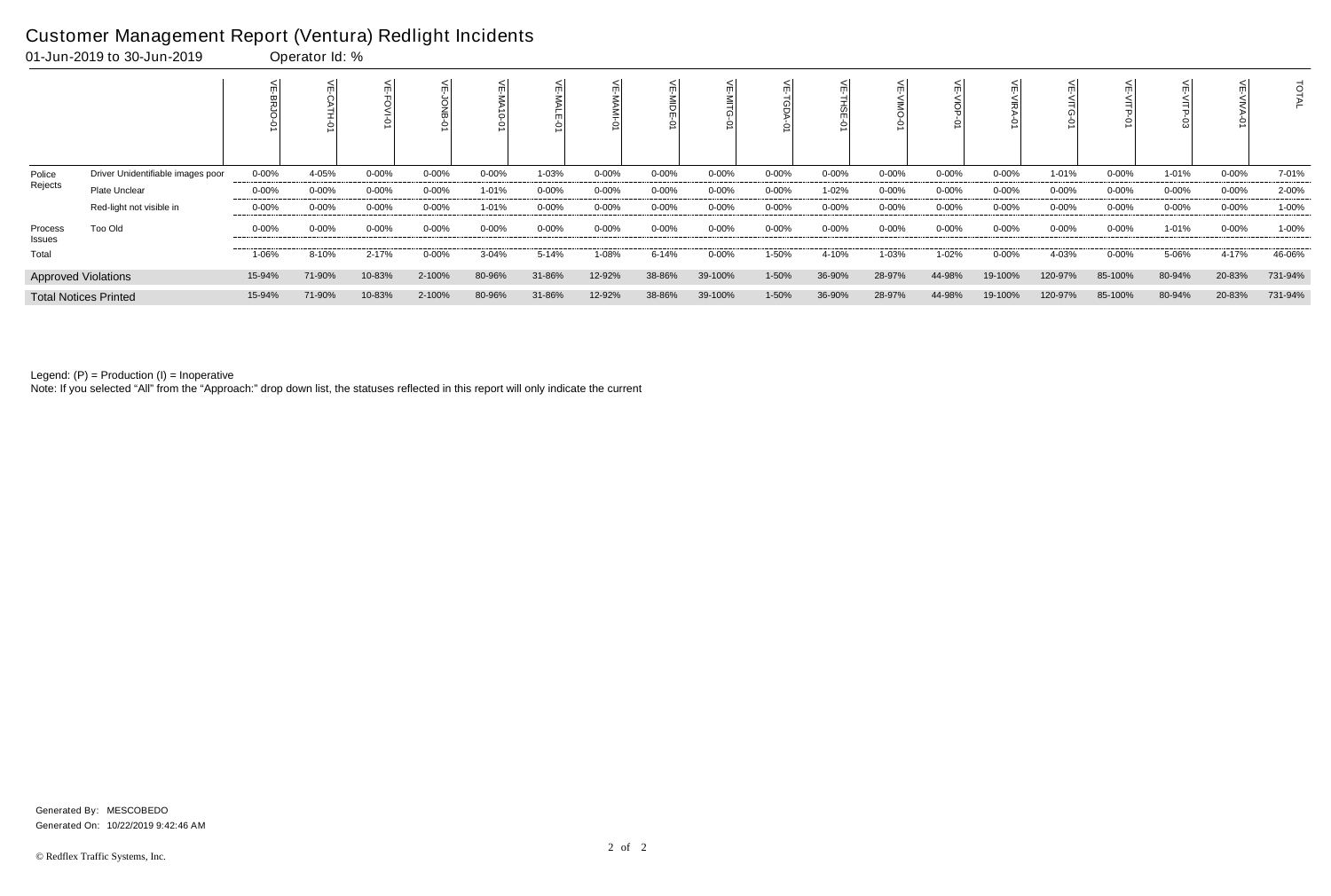## Customer Management Report (Ventura) Redlight Incidents<br>01-Jun-2019 to 30-Jun-2019<br>00erator Id: %

|                   | 01-Jun-2019 to 30-Jun-2019        |            | Operator Id: % |           |            |            |            |            |            |            |            |           |            |            |           |            |            |            |            |         |
|-------------------|-----------------------------------|------------|----------------|-----------|------------|------------|------------|------------|------------|------------|------------|-----------|------------|------------|-----------|------------|------------|------------|------------|---------|
|                   |                                   |            | Ò              |           |            |            |            |            | m          |            |            |           |            |            |           |            |            |            |            | ਟ       |
| Police            | Driver Unidentifiable images poor | $0 - 00%$  | 4-05%          | 0-00%     | $0 - 00\%$ | $0 - 00\%$ | 1-03%      | 0-00%      | 0-00%      | $0 - 00\%$ | $0 - 00\%$ | $0 - 00%$ | $0 - 00\%$ | $0 - 00\%$ | $0 - 00%$ | 1-01%      | $0 - 00\%$ | 1-01%      | $0 - 00\%$ | 7-01%   |
| Rejects           | Plate Unclear                     | $0 - 00\%$ | 0-00%          | 0-00%     | $0 - 00\%$ | $1 - 01%$  | $0 - 00\%$ | 0-00%      | $0 - 00\%$ | $0 - 00%$  | $0 - 00\%$ | 1-02%     | 0-00%      | $0 - 00\%$ | $0 - 00%$ | $0 - 00%$  | $0 - 00\%$ | $0 - 00%$  | $0 - 00\%$ | 2-00%   |
|                   | Red-light not visible in          | $0 - 00%$  | $0 - 00\%$     | $0 - 00%$ | $0 - 00\%$ | $1 - 01%$  | $0 - 00\%$ | $0 - 00\%$ | 0-00%      | $0 - 00%$  | 0-00%      | $0 - 00%$ | $0 - 00\%$ | $0 - 00\%$ | $0 - 00%$ | $0 - 00\%$ | $0 - 00\%$ | $0 - 00\%$ | $0 - 00\%$ | 1-00%   |
| Process<br>Issues | <b>Too Old</b>                    | $0 - 00\%$ | 0-00%          | $0 - 00%$ | $0 - 00\%$ | $0 - 00%$  | $0 - 00\%$ | 0-00%      | $0 - 00%$  | $0 - 00%$  | $0 - 00\%$ | $0 - 00%$ | $0 - 00\%$ | $0 - 00\%$ | $0 - 00%$ | $0 - 00\%$ | $0 - 00\%$ | 1-01%      | $0 - 00\%$ | 1-00%   |
| Total             |                                   | 1-06%      | 8-10%          | 2-17%     | $0 - 00%$  | $3 - 04%$  | 5-14%      | 1-08%      | 6-14%      | $0 - 00%$  | 1-50%      | 4-10%     | 1-03%      | $1 - 02%$  | $0 - 00%$ | 4-03%      | $0 - 00\%$ | 5-06%      | 4-17%      | 46-06%  |
|                   | <b>Approved Violations</b>        | 15-94%     | 71-90%         | 10-83%    | 2-100%     | 80-96%     | 31-86%     | 12-92%     | 38-86%     | 39-100%    | 1-50%      | 36-90%    | 28-97%     | 44-98%     | 19-100%   | 120-97%    | 85-100%    | 80-94%     | 20-83%     | 731-94% |
|                   | <b>Total Notices Printed</b>      | 15-94%     | 71-90%         | 10-83%    | 2-100%     | 80-96%     | 31-86%     | 12-92%     | 38-86%     | 39-100%    | 1-50%      | 36-90%    | 28-97%     | 44-98%     | 19-100%   | 120-97%    | 85-100%    | 80-94%     | 20-83%     | 731-94% |

Legend: (P) = Production (I) = Inoperative

Note: If you selected "All" from the "Approach:" drop down list, the statuses reflected in this report will only indicate the current

Generated On: 10/22/2019 9:42:46 AM Generated By: MESCOBEDO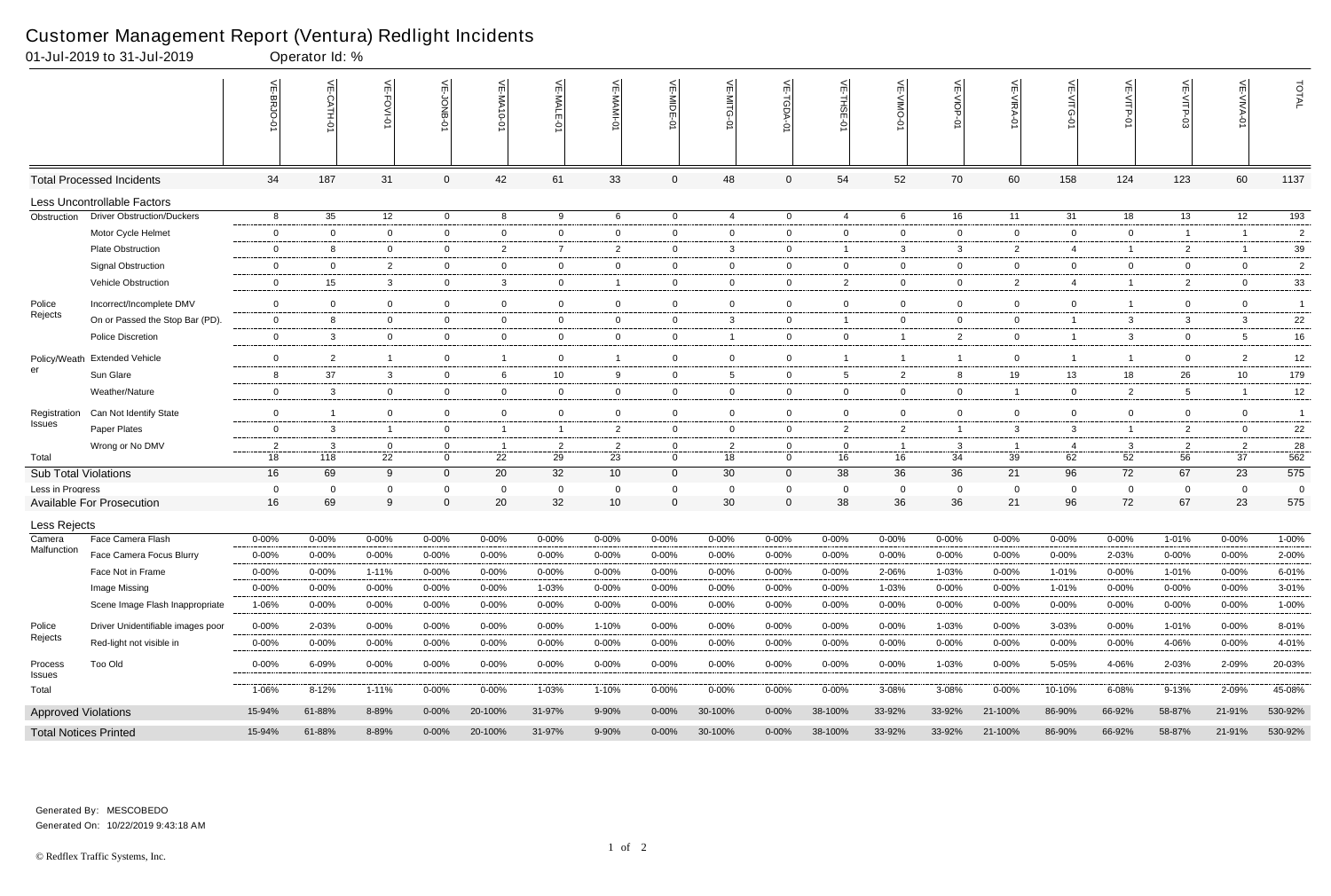|                              | 01-Jul-2019 to 31-Jul-2019        |                | Operator Id: %   |                |                  |                     |                 |                    |                            |                |                            |                      |                |                    |                |                   |                |                   |                      |                       |
|------------------------------|-----------------------------------|----------------|------------------|----------------|------------------|---------------------|-----------------|--------------------|----------------------------|----------------|----------------------------|----------------------|----------------|--------------------|----------------|-------------------|----------------|-------------------|----------------------|-----------------------|
|                              |                                   |                | $\leq$<br>CATH-0 | 늰<br>FOVI-01   | ਜ                | $\leq$<br>$10 - 01$ | VE-MAL          |                    | VE-MIDE-01                 |                | ⋚<br><b>TGDA-0</b>         | VE-THSE-01           | 븻<br>O-ONIA-   | VE-VIOP-<br>Ģ      | VE-VIRA-01     | <b>VE-VITG-01</b> | VE-VITP-01     | $VE-V1TP-03$      | VE-VIVA-01           | TOTAL                 |
|                              | <b>Total Processed Incidents</b>  | 34             | 187              | 31             | $\mathbf 0$      | 42                  | 61              | 33                 | $\Omega$                   | 48             | $\mathbf 0$                | 54                   | 52             | 70                 | 60             | 158               | 124            | 123               | 60                   | 1137                  |
|                              | Less Uncontrollable Factors       |                |                  |                |                  |                     |                 |                    |                            |                |                            |                      |                |                    |                |                   |                |                   |                      |                       |
| Obstruction                  | <b>Driver Obstruction/Duckers</b> | 8              | 35               | 12             | $\overline{0}$   | 8                   | 9               | 6                  | $\overline{0}$             | $\overline{4}$ | $\overline{0}$             | 4                    | 6              | 16                 | 11             | 31                | 18             | 13                | 12                   | $\overline{193}$      |
|                              | Motor Cycle Helmet                | $\mathbf 0$    | $\overline{0}$   | $\overline{0}$ | $\mathbf 0$      | $\mathbf 0$         | $\overline{0}$  | $\overline{0}$     | $\mathbf 0$                | 0              | $\mathbf{0}$               | $\overline{0}$       | $\mathbf 0$    | $\overline{0}$     | $\overline{0}$ | $\mathbf{0}$      | $\mathbf 0$    | $\overline{1}$    |                      | $\overline{c}$        |
|                              | <b>Plate Obstruction</b>          | $\overline{0}$ | 8                | $\overline{0}$ | $\overline{0}$   | $\overline{2}$      | 7               | $\overline{2}$     | 0                          | 3              | $\mathbf{0}$               |                      | 3              | $\mathbf{3}$       | $\overline{2}$ | 4                 | $\mathbf{1}$   | $\overline{2}$    |                      | $39\,$                |
|                              | <b>Signal Obstruction</b>         | $\mathbf 0$    | $\Omega$         | $\overline{2}$ | $\mathbf 0$      | $\mathbf{0}$        | $\overline{0}$  | $\mathbf 0$        | $\mathbf 0$                | $\mathbf 0$    | $\mathbf{0}$               | $\overline{0}$       | $\mathbf 0$    | $\overline{0}$     | $\overline{0}$ | $\mathbf 0$       | $\mathbf 0$    | $\overline{0}$    | $\overline{0}$       | $\overline{c}$        |
|                              | Vehicle Obstruction               | $\mathbf 0$    | 15               | $\mathbf{3}$   | $\mathbf{0}$     | 3                   | $\mathbf{0}$    | $\overline{1}$     | $\overline{0}$             | $\mathbf{0}$   | $\overline{0}$             | $\overline{2}$       | $\mathbf{0}$   | $\overline{0}$     | $\overline{2}$ | 4                 | $\mathbf{1}$   | $\overline{2}$    | $\overline{0}$       | 33                    |
| Police                       | Incorrect/Incomplete DMV          | $\overline{0}$ | $\Omega$         | $\overline{0}$ | $\mathbf 0$      | $\mathbf 0$         | $\mathbf 0$     | $\overline{0}$     | $\overline{0}$             | $\mathbf{0}$   | $\mathbf 0$                | $\overline{0}$       | $\mathbf{0}$   | $\overline{0}$     | $\overline{0}$ | $\mathbf 0$       | $\mathbf{1}$   | $\overline{0}$    | $\overline{0}$       | $\overline{1}$        |
| Rejects                      | On or Passed the Stop Bar (PD).   | $\overline{0}$ |                  | $\overline{0}$ | $\mathbf 0$      | 0                   | $\overline{0}$  | $\mathbf 0$        | $\overline{0}$             | $\mathbf{3}$   | $\mathbf{0}$               |                      | $\mathbf 0$    | $\overline{0}$     | $\overline{0}$ |                   | 3              | 3                 | $\mathbf{3}$         | 22                    |
|                              | <b>Police Discretion</b>          | $\overline{0}$ | 3                | $\overline{0}$ | $\overline{0}$   | 0                   | $\overline{0}$  | $\overline{0}$     | $\mathbf{0}$               | $\overline{1}$ | $\overline{0}$             | $\overline{0}$       |                | $\overline{2}$     | $\overline{0}$ |                   | 3              | $\overline{0}$    | $5\overline{)}$      | 16                    |
| Policy/Weath                 | <b>Extended Vehicle</b>           | $\overline{0}$ | $\overline{2}$   | $\overline{1}$ | $\mathbf 0$      | -1                  | $\overline{0}$  | $\overline{1}$     | $\overline{0}$             | 0              | $\mathbf 0$                |                      |                | $\overline{1}$     | $\overline{0}$ |                   | $\mathbf{1}$   | $\overline{0}$    | $\overline{2}$       | 12                    |
| er                           | Sun Glare                         | 8              | 37               | $\mathbf{3}$   | $\overline{0}$   | 6                   | 10 <sup>°</sup> | 9                  | $\mathbf 0$                | $5^{\circ}$    | $\mathbf{0}$               | -5                   | $\overline{2}$ | 8                  | 19             | 13                | 18             | 26                | 10                   | 179                   |
|                              | Weather/Nature                    | $\overline{0}$ | 3                | $\overline{0}$ | $\mathbf 0$      | 0                   | $\overline{0}$  | $\overline{0}$     | $\mathbf{0}$               | $\overline{0}$ | $\mathbf 0$                | $\overline{0}$       | $\mathbf{0}$   | $\overline{0}$     | - 1            | $\mathbf{0}$      | $\overline{2}$ | 5                 |                      | 12                    |
| Registration                 | Can Not Identify State            | $\overline{0}$ | -1               | $\mathbf{0}$   | $\mathbf 0$      | $\mathbf{0}$        | $\overline{0}$  | $\overline{0}$     | $\mathbf 0$                | $\mathbf 0$    | $\mathbf 0$                | $\overline{0}$       | $\mathbf{0}$   | $\mathbf 0$        | $\overline{0}$ | $\mathbf{0}$      | $\mathbf 0$    | $\overline{0}$    | $\overline{0}$       | $\overline{1}$        |
| Issues                       | Paper Plates                      | $\overline{0}$ | 3                | $\overline{1}$ | $\overline{0}$   | - 1                 | $\overline{1}$  | $\overline{2}$     | $\mathbf 0$                | 0              | $\mathbf{0}$               | $\overline{2}$       | $\overline{2}$ | $\mathbf{1}$       | -3             | 3                 | $\mathbf{1}$   | 2                 | $\mathbf 0$          | 22                    |
|                              | Wrong or No DMV                   | $\overline{2}$ | -3               | 0              | 0                | - 1                 | 2               | $\overline{2}$     | 0                          | 2              | $\mathbf{0}$               | $\overline{0}$       |                | $\mathbf{3}$       |                | 4                 | $\mathbf{3}$   | $\overline{2}$    | $\overline{2}$       | 28                    |
| Total                        |                                   | 18             | 118              | 22             | $\mathbf 0$      | 22                  | 29              | 23                 | $\mathbf 0$                | 18             | $\overline{0}$             | 16                   | 16             | 34                 | 39             | 62                | 52             | 56                | 37                   | 562                   |
| <b>Sub Total Violations</b>  |                                   | 16             | 69               | 9              | $\overline{0}$   | 20                  | 32              | 10                 | $\overline{0}$             | 30             | $\overline{0}$             | 38                   | 36             | 36                 | 21             | 96                | 72             | 67                | 23                   | 575                   |
| Less in Progress             | <b>Available For Prosecution</b>  | 0<br>16        | $\Omega$<br>69   | 0<br>9         | 0<br>$\mathbf 0$ | 0<br>20             | 0<br>32         | $\mathbf{0}$<br>10 | $\Omega$<br>$\overline{0}$ | 0<br>30        | $\mathbf 0$<br>$\mathbf 0$ | $\overline{0}$<br>38 | 0<br>36        | $\mathbf{0}$<br>36 | $\Omega$<br>21 | $\mathbf 0$<br>96 | 0<br>72        | $\mathbf 0$<br>67 | $\overline{0}$<br>23 | $\overline{0}$<br>575 |
| Less Rejects                 |                                   |                |                  |                |                  |                     |                 |                    |                            |                |                            |                      |                |                    |                |                   |                |                   |                      |                       |
| Camera                       | Face Camera Flash                 | $0 - 00%$      | 0-00%            | $0 - 00%$      | 0-00%            | $0 - 00%$           | $0 - 00\%$      | $0 - 00%$          | 0-00%                      | $0 - 00\%$     | $0 - 00%$                  | $0 - 00%$            | 0-00%          | $0 - 00%$          | $0 - 00%$      | $0 - 00%$         | $0 - 00%$      | 1-01%             | $0 - 00%$            | $1 - 00%$             |
| Malfunction                  | Face Camera Focus Blurry          | $0 - 00%$      | 0-00%            | $0 - 00\%$     | $0 - 00%$        | $0 - 00%$           | $0 - 00%$       | $0 - 00%$          | $0 - 00%$                  | $0 - 00%$      | $0 - 00\%$                 | $0 - 00%$            | 0-00%          | 0-00%              | $0 - 00\%$     | $0 - 00%$         | 2-03%          | $0 - 00%$         | $0 - 00%$            | $2 - 00\%$            |
|                              | Face Not in Frame                 | 0-00%          | 0-00%            | $1 - 11%$      | 0-00%            | 0-00%               | $0 - 00\%$      | $0 - 00%$          | 0-00%                      | $0 - 00%$      | $0 - 00%$                  | $0 - 00%$            | 2-06%          | 1-03%              | $0 - 00%$      | $1 - 01%$         | $0 - 00%$      | 1-01%             | $0 - 00%$            | 6-01%                 |
|                              | Image Missing                     | $0 - 00%$      | $0 - 00%$        | $0 - 00\%$     | 0-00%            | $0 - 00%$           | 1-03%           | $0 - 00%$          | $0 - 00%$                  | $0 - 00\%$     | $0 - 00\%$                 | $0 - 00%$            | 1-03%          | $0 - 00\%$         | 0-00%          | 1-01%             | $0 - 00%$      | $0 - 00%$         | $0 - 00%$            | 3-01%                 |
|                              | Scene Image Flash Inappropriate   | 1-06%          | $0 - 00%$        | $0 - 00\%$     | 0-00%            | $0 - 00%$           | 0-00%           | 0-00%              | 0-00%                      | 0-00%          | $0 - 00\%$                 | $0 - 00%$            | $0 - 00%$      | $0 - 00\%$         | 0-00%          | 0-00%             | $0 - 00%$      | $0 - 00\%$        | $0 - 00\%$           | 1-00%                 |
| Police                       | Driver Unidentifiable images poor | $0 - 00%$      | 2-03%            | $0 - 00%$      | 0-00%            | $0 - 00%$           | $0 - 00\%$      | $1 - 10%$          | $0 - 00%$                  | $0 - 00%$      | $0 - 00\%$                 | $0 - 00%$            | $0 - 00%$      | 1-03%              | $0 - 00\%$     | 3-03%             | $0 - 00%$      | 1-01%             | $0 - 00\%$           | 8-01%                 |
| Rejects                      | Red-light not visible in          | $0 - 00%$      | $0 - 00\%$       | $0 - 00\%$     | 0-00%            | $0 - 00\%$          | $0 - 00\%$      | $0 - 00%$          | $0 - 00%$                  | $0 - 00\%$     | $0 - 00\%$                 | $0 - 00%$            | 0-00%          | $0 - 00\%$         | $0 - 00\%$     | $0 - 00%$         | $0 - 00%$      | 4-06%             | $0 - 00\%$           | 4-01%                 |
| Process<br><b>Issues</b>     | Too Old                           | $0 - 00\%$     | 6-09%            | $0 - 00\%$     | $0 - 00\%$       | $0 - 00\%$          | $0 - 00\%$      | $0 - 00\%$         | $0 - 00%$                  | $0 - 00\%$     | $0 - 00\%$                 | $0 - 00\%$           | $0 - 00\%$     | 1-03%              | $0 - 00\%$     | 5-05%             | 4-06%          | 2-03%             | 2-09%                | 20-03%                |
| Total                        |                                   | 1-06%          | $8 - 12%$        | $1 - 11%$      | $0 - 00\%$       | $0 - 00\%$          | 1-03%           | 1-10%              | $0 - 00%$                  | $0 - 00\%$     | $0 - 00\%$                 | $0 - 00%$            | 3-08%          | 3-08%              | $0 - 00\%$     | 10-10%            | 6-08%          | $9 - 13%$         | 2-09%                | 45-08%                |
| <b>Approved Violations</b>   |                                   | 15-94%         | 61-88%           | 8-89%          | $0 - 00\%$       | 20-100%             | 31-97%          | 9-90%              | $0 - 00\%$                 | 30-100%        | $0 - 00\%$                 | 38-100%              | 33-92%         | 33-92%             | 21-100%        | 86-90%            | 66-92%         | 58-87%            | 21-91%               | 530-92%               |
| <b>Total Notices Printed</b> |                                   | 15-94%         | 61-88%           | 8-89%          | $0 - 00\%$       | 20-100%             | 31-97%          | 9-90%              | $0 - 00\%$                 | 30-100%        | $0 - 00\%$                 | 38-100%              | 33-92%         | 33-92%             | 21-100%        | 86-90%            | 66-92%         | 58-87%            | 21-91%               | 530-92%               |

Generated On: 10/22/2019 9:43:18 AM Generated By: MESCOBEDO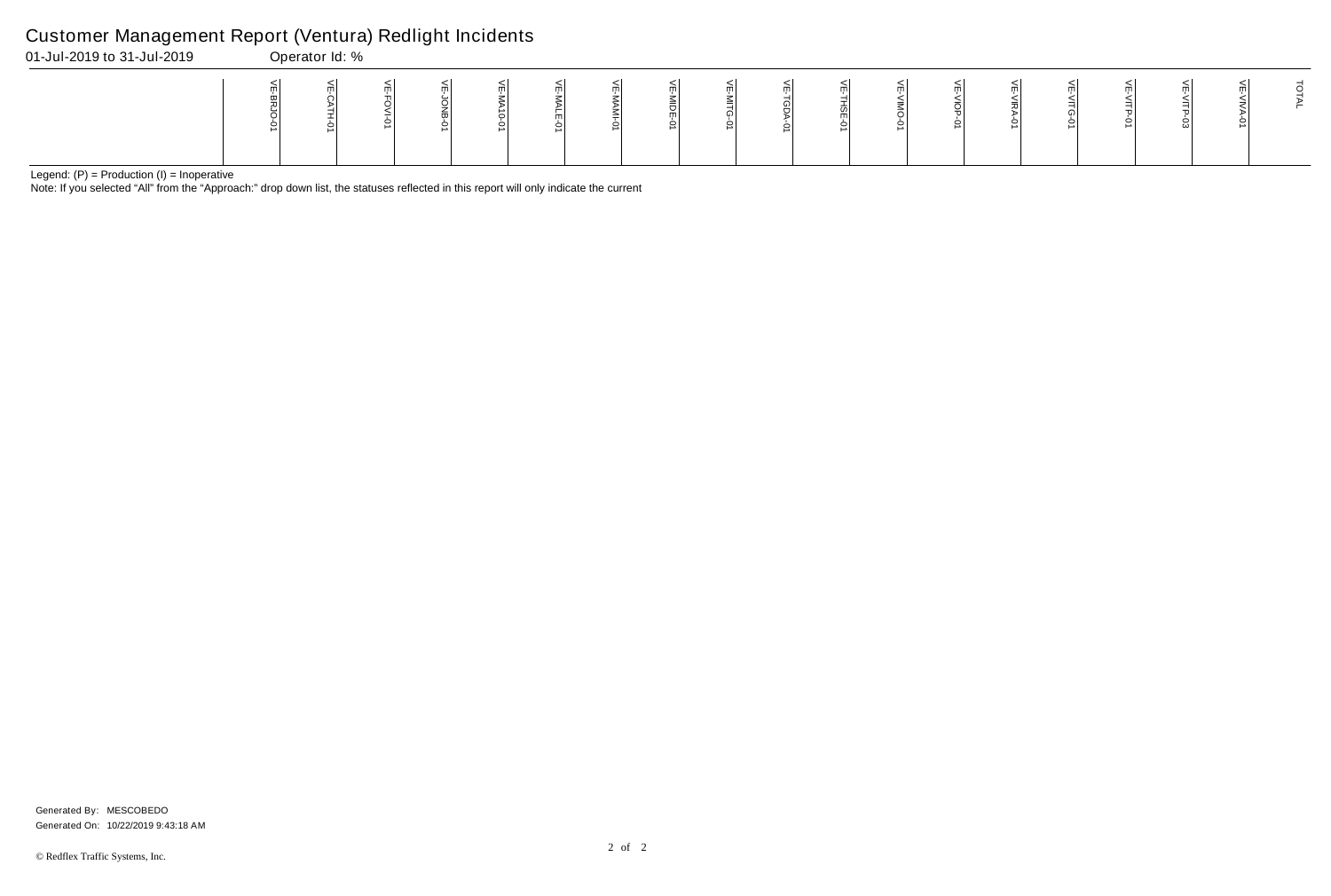Note: If you selected "All" from the "Approach:" drop down list, the statuses reflected in this report will only indicate the current

## Customer Management Report (Ventura) Redlight Incidents

| 01-Jul-2019 to 31-Jul-2019 |             | Operator Id: %            |    |             |                   |                       |         |        |             |     |
|----------------------------|-------------|---------------------------|----|-------------|-------------------|-----------------------|---------|--------|-------------|-----|
|                            | 띶<br>0<br>∸ | $\blacksquare$<br>$\circ$ | ml | ◡<br>좀<br>5 | ml<br>m<br>0<br>∸ | -<br>≤<br>_<br>0<br>∸ | ml<br>m | ω<br>っ | ш<br>엶<br>0 | m l |

VE-VIOP-01

VE-VIOP-01

| VE-VIRA-01 | VE-VITG-01 | VE-VITP-01 | VE-VITP-03 | VE-VIVA-01 | TOTAL |
|------------|------------|------------|------------|------------|-------|
|            |            |            |            |            |       |

Generated On: 10/22/2019 9:43:18 AM Generated By: MESCOBEDO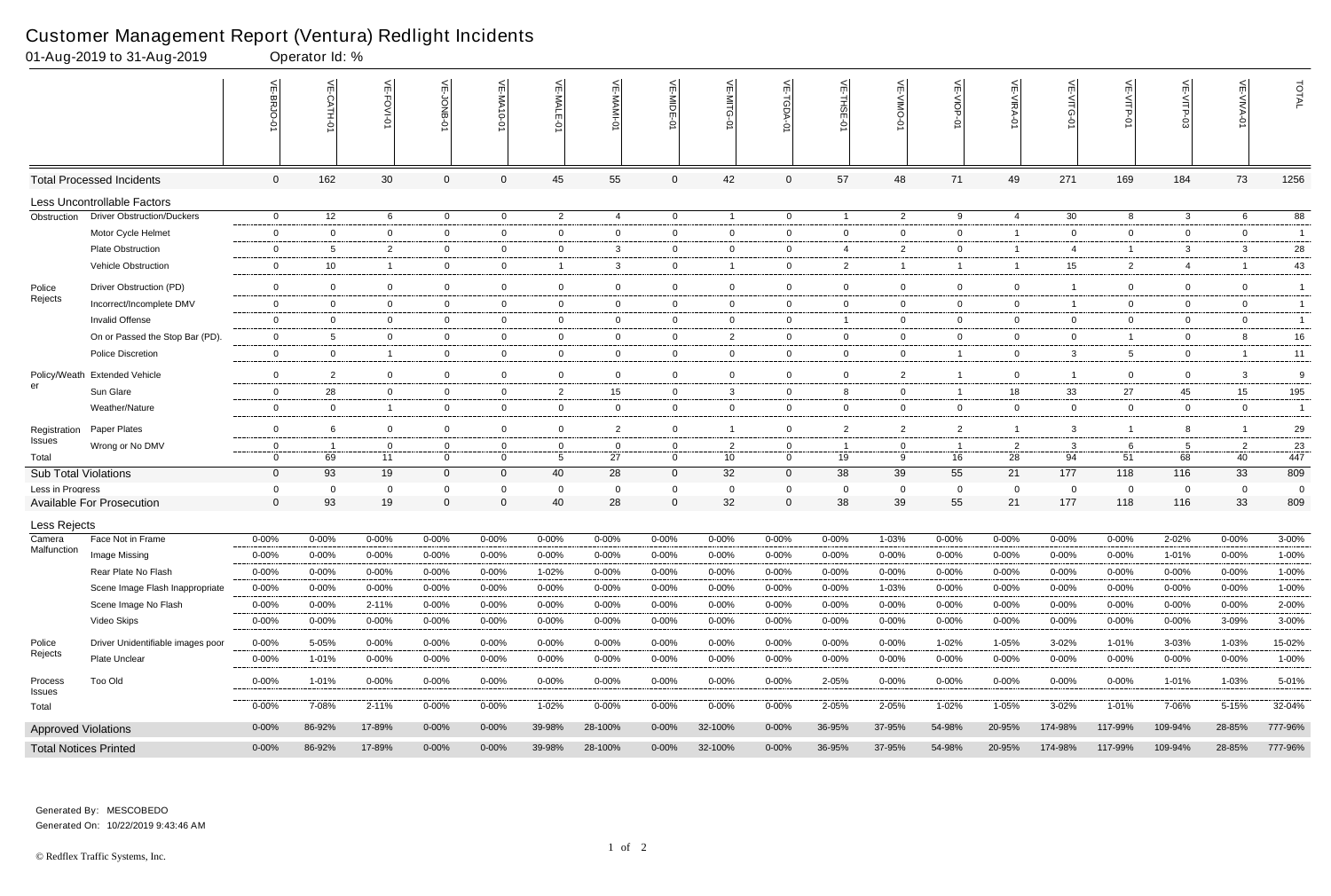# Customer Management Report (Ventura) Redlight Incidents<br>01-Aug-2019 to 31-Aug-2019 Coerator Id: %

|                             | 01-Aug-2019 to 31-Aug-2019           |                    | Operator Id: %          |                               |                         |                        |                         |                   |                        |                         |                         |                               |                                                                   |                          |                        |                        |                         |                         |                    |                       |
|-----------------------------|--------------------------------------|--------------------|-------------------------|-------------------------------|-------------------------|------------------------|-------------------------|-------------------|------------------------|-------------------------|-------------------------|-------------------------------|-------------------------------------------------------------------|--------------------------|------------------------|------------------------|-------------------------|-------------------------|--------------------|-----------------------|
|                             |                                      | VE-BRJO-<br>ó      |                         | $\frac{1}{2}$<br>Ť<br>$O-IAO$ | VE-JONB-01              | <b>VE-MA10-0</b>       | VE-MALE-01              | VE-MAMI-01        | VE-MIDE-0              | VE-MITG                 | 늦                       | $\widetilde{\mathsf{m}}$<br>Ģ | $\stackrel{\textstyle <}{\scriptstyle \textstyle \sf m}$<br>OMIN- | VE-VIOP-<br>ò            | VE-VIRA-01             | VE-VITG-0              | $V = \sqrt{TP-9}$       | VE-VITP-03              | 늰<br><b>NIVA</b>   | TOTAL                 |
|                             | <b>Total Processed Incidents</b>     | $\mathbf 0$        | 162                     | 30                            | $\mathbf 0$             | 0                      | 45                      | 55                | $\mathbf 0$            | 42                      | $\mathbf 0$             | 57                            | 48                                                                | 71                       | 49                     | 271                    | 169                     | 184                     | 73                 | 1256                  |
|                             | Less Uncontrollable Factors          |                    |                         |                               |                         |                        |                         |                   |                        |                         |                         |                               |                                                                   |                          |                        |                        |                         |                         |                    |                       |
| Obstruction                 | <b>Driver Obstruction/Duckers</b>    | $\mathbf 0$        | 12 <sup>2</sup>         | 6                             | $\mathbf 0$             | $\overline{0}$         | $\overline{2}$          | $\overline{4}$    | $\overline{0}$         | $\overline{1}$          | $\mathbf 0$             | $\overline{1}$                | $\overline{2}$                                                    | 9                        | $\overline{4}$         | 30                     | 8                       | $\mathbf{3}$            | 6                  | 88                    |
|                             | Motor Cycle Helmet                   | $\mathbf 0$        | $\overline{0}$          | $\overline{0}$                | $\mathbf 0$             | 0                      | $\overline{0}$          | $\overline{0}$    | $\mathbf 0$            | $\overline{0}$          | 0                       | $\overline{0}$                | $\overline{0}$                                                    | $\overline{0}$           | -1                     | $\overline{0}$         | $\overline{0}$          | $\mathbf 0$             | $\overline{0}$     | $\overline{1}$        |
|                             | <b>Plate Obstruction</b>             | $\overline{0}$     | 5                       | $\overline{2}$                | $\mathbf 0$             | $\overline{0}$         | $\overline{0}$          | $\mathbf{3}$      | $\mathbf 0$            | $\overline{0}$          | $\mathbf 0$             | 4                             | $\overline{2}$                                                    | $\overline{0}$           | $\overline{1}$         | 4                      | $\overline{1}$          | 3                       | 3                  | 28                    |
|                             | Vehicle Obstruction                  | $\overline{0}$     | 10                      | $\overline{1}$                | $\mathbf 0$             | 0                      | 1                       | 3                 | $\overline{0}$         | $\overline{1}$          | $\mathbf 0$             | 2                             | $\overline{1}$                                                    | $\overline{1}$           | -1                     | 15                     | $\overline{2}$          | $\overline{4}$          |                    | 43                    |
| Police                      | Driver Obstruction (PD)              | $\overline{0}$     | $\overline{0}$          | $\Omega$                      | $\mathbf 0$             | $\mathbf 0$            | $\mathbf 0$             | 0                 | $\overline{0}$         | $\mathbf 0$             | $\mathbf 0$             | $\overline{0}$                | $\Omega$                                                          | $\mathbf 0$              | $\overline{0}$         |                        | $\mathbf 0$             | $\Omega$                | $\Omega$           | -1                    |
| Rejects                     | Incorrect/Incomplete DMV             | $\overline{0}$     | $\overline{0}$          | $\overline{0}$                | $\mathbf 0$             | $\overline{0}$         | $\overline{0}$          | $\overline{0}$    | $\overline{0}$         | $\overline{0}$          | $\mathbf{0}$            | $\overline{0}$                | $\overline{0}$                                                    | $\overline{0}$           | $\overline{0}$         | 1                      | $\overline{0}$          | $\mathbf 0$             | $\overline{0}$     | $\overline{1}$        |
|                             | <b>Invalid Offense</b>               | $\Omega$           | $\mathbf 0$             | $\overline{0}$                | $\mathbf 0$             | $\mathbf 0$            | $\overline{0}$          | $\mathbf 0$       | $\mathbf 0$            | $\mathbf 0$             | $\mathbf 0$             | $\overline{\mathbf{1}}$       | $\Omega$                                                          | $\overline{0}$           | $\overline{0}$         | $\mathbf 0$            | $\overline{0}$          | $\mathbf 0$             | $\mathbf 0$        | $\overline{1}$        |
|                             | On or Passed the Stop Bar (PD).      | - 0                | 5                       | $\Omega$                      | $\overline{0}$          | $\mathbf 0$            | $\mathbf{0}$            | $\overline{0}$    | $\mathbf 0$            | $\overline{2}$          | $\mathbf{0}$            | $\mathbf 0$                   | $\overline{0}$                                                    | $\overline{0}$           | $\overline{0}$         | $\mathbf{0}$           | $\overline{1}$          | 0                       | 8                  | $16\,$                |
|                             | <b>Police Discretion</b>             | $\mathbf 0$        | $\overline{0}$          | $\overline{1}$                | $\mathbf 0$             | $\overline{0}$         | $\overline{0}$          | $\overline{0}$    | $\mathbf 0$            | $\overline{0}$          | 0                       | $\overline{0}$                | $\overline{0}$                                                    | $\overline{1}$           | $\overline{0}$         | 3                      | 5                       | $\mathbf 0$             |                    | 11                    |
|                             | Policy/Weath Extended Vehicle        | $\overline{0}$     | 2                       | $\Omega$                      | $\mathbf 0$             | $\mathbf 0$            | $\overline{0}$          | $\mathbf 0$       | $\mathbf 0$            | $\mathbf 0$             | $\mathbf 0$             | $\overline{0}$                | $\overline{2}$                                                    |                          | $\overline{0}$         | 1                      | $\mathbf 0$             | $\overline{0}$          | 3                  | 9                     |
| er                          | Sun Glare                            | $\mathbf 0$        | 28                      | $\overline{0}$                | $\mathbf 0$             | $\overline{0}$         | $\overline{2}$          | 15                | $\mathbf 0$            | 3                       | 0                       | 8                             | $\overline{0}$                                                    | $\overline{1}$           | 18                     | 33                     | 27                      | 45                      | 15                 | 195                   |
|                             | Weather/Nature                       | $\mathbf 0$        | $\mathbf 0$             | $\overline{1}$                | $\mathbf 0$             | $\mathbf 0$            | $\overline{0}$          | 0                 | $\mathbf 0$            | $\mathbf 0$             | $\mathbf 0$             | $\mathbf 0$                   | $\overline{0}$                                                    | $\mathbf 0$              | $\overline{0}$         | $\overline{0}$         | $\overline{0}$          | $\mathbf 0$             | $\overline{0}$     | $\overline{1}$        |
| Registration                | Paper Plates                         | $\mathbf 0$        | 6                       | $\mathbf 0$                   | $\mathbf 0$             | $\mathbf 0$            | $\mathbf{0}$            | $\overline{2}$    | $\mathbf 0$            |                         | $\mathbf 0$             | 2                             | $\overline{2}$                                                    | $\overline{2}$           | $\overline{1}$         | 3                      | $\mathbf{1}$            | 8                       |                    | 29                    |
| Issues                      | Wrong or No DMV                      | $\overline{0}$     | -1                      | $\mathbf 0$                   | $\mathbf 0$             | 0                      | $\mathbf{0}$            | $\overline{0}$    | $\mathbf 0$            | 2                       | $\mathbf{0}$            | - 1                           | $\mathbf 0$                                                       | -1                       | $\overline{2}$         | 3                      | 6                       | -5                      | $\overline{2}$     | 23                    |
| Total                       |                                      | $\mathbf 0$        | 69                      | 11                            | $\mathbf 0$             | $\mathbf 0$            | 5                       | 27                | $\mathbf 0$            | 10                      | $\mathbf 0$             | 19                            | 9                                                                 | 16                       | 28                     | 94                     | 51                      | 68                      | 40                 | 447                   |
| <b>Sub Total Violations</b> |                                      | $\overline{0}$     | 93                      | 19                            | $\mathbf{0}$            | $\mathbf{0}$           | 40                      | 28                | $\overline{0}$         | 32                      | $\overline{0}$          | 38                            | 39                                                                | 55                       | 21                     | 177                    | 118                     | 116                     | 33                 | 809                   |
| Less in Progress            | Available For Prosecution            | 0<br>$\Omega$      | 0<br>93                 | $\mathbf 0$<br>19             | 0<br>$\Omega$           | 0<br>0                 | $\Omega$<br>40          | $\mathbf 0$<br>28 | $\Omega$               | $\Omega$<br>32          | 0<br>$\pmb{0}$          | $\mathbf 0$<br>38             | $\mathbf 0$<br>39                                                 | $\mathbf 0$<br>55        | $\overline{0}$<br>21   | 0<br>177               | $\mathbf 0$<br>118      | $\Omega$<br>116         | $\mathbf 0$<br>33  | $\overline{0}$<br>809 |
|                             |                                      |                    |                         |                               |                         |                        |                         |                   |                        |                         |                         |                               |                                                                   |                          |                        |                        |                         |                         |                    |                       |
| Less Rejects                |                                      |                    |                         |                               |                         |                        |                         |                   |                        |                         |                         |                               |                                                                   |                          |                        |                        |                         |                         |                    |                       |
| Camera<br>Malfunction       | Face Not in Frame                    | $0 - 00%$          | $0 - 00%$               | $0 - 00%$                     | $0 - 00%$               | $0 - 00%$              | $0 - 00%$               | 0-00%             | $0 - 00%$              | $0 - 00%$               | 0-00%                   | 0-00%                         | 1-03%                                                             | $0 - 00\%$               | $0 - 00%$              | 0-00%                  | $0 - 00%$               | 2-02%                   | $0 - 00\%$         | 3-00%                 |
|                             | Image Missing<br>Rear Plate No Flash | $0 - 00%$          | 0-00%                   | $0 - 00\%$                    | $0 - 00\%$              | $0 - 00%$              | $0 - 00\%$              | $0 - 00\%$        | $0 - 00%$              | $0 - 00\%$              | $0 - 00%$               | 0-00%                         | $0 - 00\%$                                                        | $0 - 00%$                | $0 - 00%$              | 0-00%                  | $0 - 00%$               | 1-01%                   | $0 - 00\%$         | 1-00%                 |
|                             |                                      | $0 - 00%$          | $0 - 00%$               | $0 - 00%$                     | $0 - 00%$               | $0 - 00%$              | 1-02%                   | 0-00%             | $0 - 00%$              | $0 - 00%$               | 0-00%                   | 0-00%                         | $0 - 00%$                                                         | $0 - 00\%$               | $0 - 00%$              | 0-00%                  | $0 - 00\%$              | $0 - 00%$               | $0 - 00\%$         | 1-00%                 |
|                             | Scene Image Flash Inappropriate      | $0 - 00%$          | $0 - 00%$               | $0 - 00\%$                    | $0 - 00%$               | $0 - 00%$              | $0 - 00%$               | 0-00%             | $0 - 00%$              | $0 - 00%$               | $0 - 00%$               | 0-00%                         | 1-03%                                                             | $0 - 00\%$               | $0 - 00%$              | $0 - 00%$              | $0 - 00%$               | $0 - 00%$               | $0 - 00%$          | 1-00%                 |
|                             | Scene Image No Flash<br>Video Skips  | $0 - 00%$<br>0-00% | $0 - 00%$<br>$0 - 00\%$ | 2-11%<br>$0 - 00\%$           | $0 - 00%$<br>$0 - 00\%$ | $0 - 00%$<br>$0 - 00%$ | $0 - 00%$<br>$0 - 00\%$ | 0-00%<br>0-00%    | $0 - 00%$<br>$0 - 00%$ | $0 - 00%$<br>$0 - 00\%$ | $0 - 00%$<br>$0 - 00\%$ | $0 - 00%$<br>$0 - 00\%$       | $0 - 00%$                                                         | $0 - 00\%$<br>$0 - 00\%$ | $0 - 00%$<br>$0 - 00%$ | $0 - 00%$<br>$0 - 00%$ | $0 - 00%$<br>$0 - 00\%$ | $0 - 00%$<br>$0 - 00\%$ | $0 - 00%$<br>3-09% | 2-00%<br>3-00%        |
|                             |                                      |                    |                         |                               |                         |                        |                         |                   |                        |                         |                         |                               | 0-00%                                                             |                          |                        |                        |                         |                         |                    |                       |
| Police<br>Rejects           | Driver Unidentifiable images poor    | $0 - 00%$          | 5-05%                   | $0 - 00\%$                    | $0 - 00\%$              | $0 - 00%$              | $0 - 00%$               | $0 - 00\%$        | $0 - 00%$              | $0 - 00\%$              | $0 - 00\%$              | 0-00%                         | $0 - 00\%$                                                        | 1-02%                    | 1-05%                  | 3-02%                  | 1-01%                   | 3-03%                   | 1-03%              | 15-02%                |
|                             | Plate Unclear                        | $0 - 00%$          | 1-01%                   | $0 - 00\%$                    | $0 - 00\%$              | $0 - 00%$              | $0 - 00%$               | $0 - 00%$         | $0 - 00%$              | $0 - 00\%$              | $0 - 00%$               | 0-00%                         | $0 - 00%$                                                         | $0 - 00\%$               | $0 - 00%$              | 0-00%                  | $0 - 00%$               | 0-00%                   | $0 - 00%$          | 1-00%                 |
| Process<br>Issues           | Too Old                              | $0 - 00\%$         | 1-01%                   | $0 - 00%$                     | $0 - 00\%$              | $0 - 00\%$             | $0 - 00%$               | $0 - 00\%$        | $0 - 00\%$             | $0 - 00\%$              | $0 - 00%$               | 2-05%                         | $0 - 00\%$                                                        | $0 - 00\%$               | $0 - 00%$              | $0 - 00\%$             | $0 - 00\%$              | 1-01%                   | 1-03%              | 5-01%                 |
| Total                       |                                      | $0 - 00\%$         | 7-08%                   | 2-11%                         | $0 - 00\%$              | $0 - 00%$              | 1-02%                   | $0 - 00\%$        | $0 - 00\%$             | $0 - 00\%$              | $0 - 00\%$              | 2-05%                         | 2-05%                                                             | $1 - 02%$                | 1-05%                  | $3 - 02%$              | 1-01%                   | 7-06%                   | 5-15%              | 32-04%                |
| <b>Approved Violations</b>  |                                      | $0 - 00\%$         | 86-92%                  | 17-89%                        | $0 - 00\%$              | $0 - 00\%$             | 39-98%                  | 28-100%           | $0 - 00\%$             | 32-100%                 | $0 - 00\%$              | 36-95%                        | 37-95%                                                            | 54-98%                   | 20-95%                 | 174-98%                | 117-99%                 | 109-94%                 | 28-85%             | 777-96%               |
|                             | <b>Total Notices Printed</b>         | $0 - 00\%$         | 86-92%                  | 17-89%                        | $0 - 00\%$              | $0 - 00\%$             | 39-98%                  | 28-100%           | $0 - 00\%$             | 32-100%                 | $0 - 00\%$              | 36-95%                        | 37-95%                                                            | 54-98%                   | 20-95%                 | 174-98%                | 117-99%                 | 109-94%                 | 28-85%             | 777-96%               |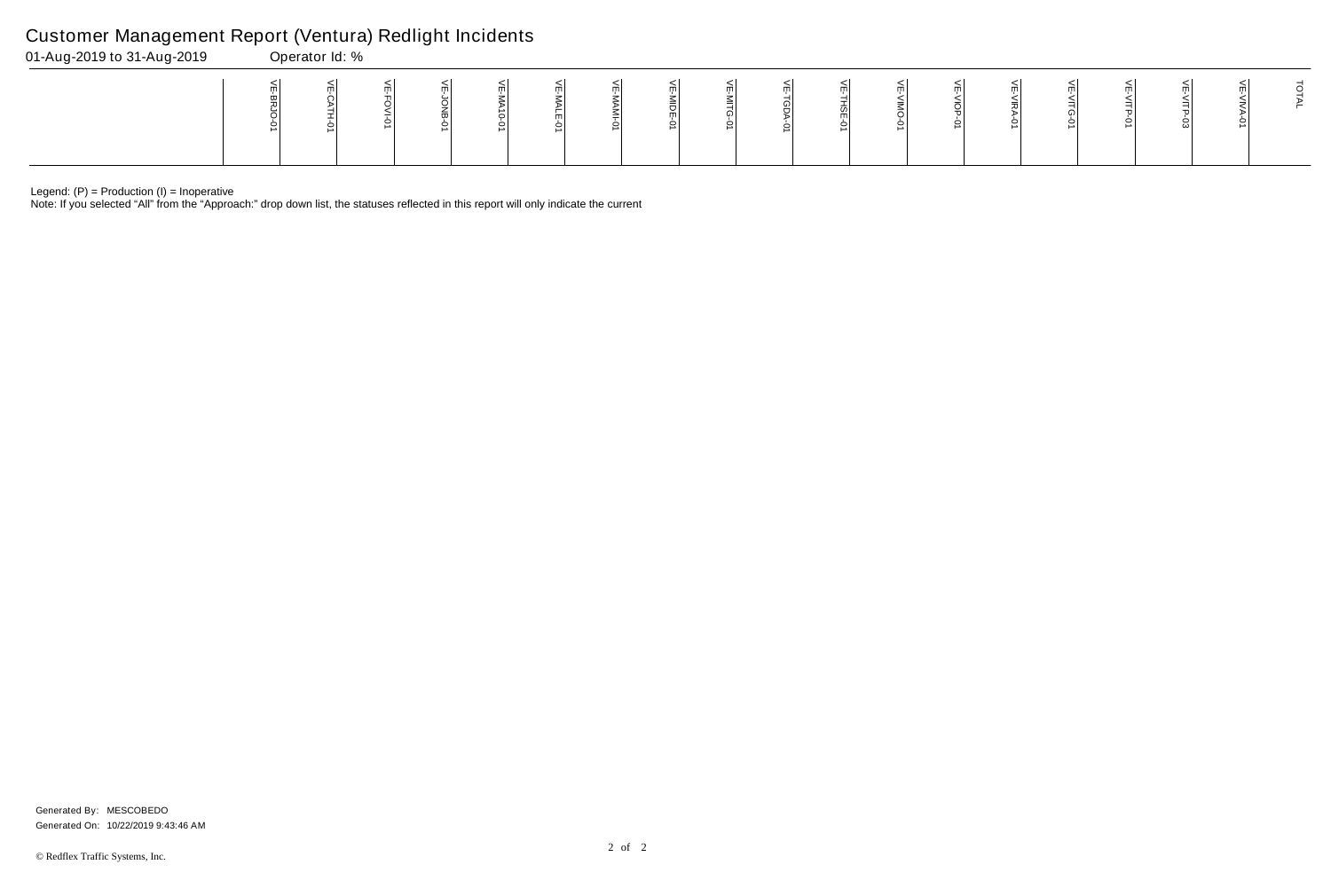Note: If you selected "All" from the "Approach:" drop down list, the statuses reflected in this report will only indicate the current

## Customer Management Report (Ventura) Redlight Incidents

| 01-Aug-2019 to 31-Aug-2019 | Operator Id: % |  |  |  |  |  |  |  |  |  |   |  |  |  |  |  |    |  |  |
|----------------------------|----------------|--|--|--|--|--|--|--|--|--|---|--|--|--|--|--|----|--|--|
|                            |                |  |  |  |  |  |  |  |  |  | ∸ |  |  |  |  |  | ເມ |  |  |

Generated On: 10/22/2019 9:43:46 AM Generated By: MESCOBEDO